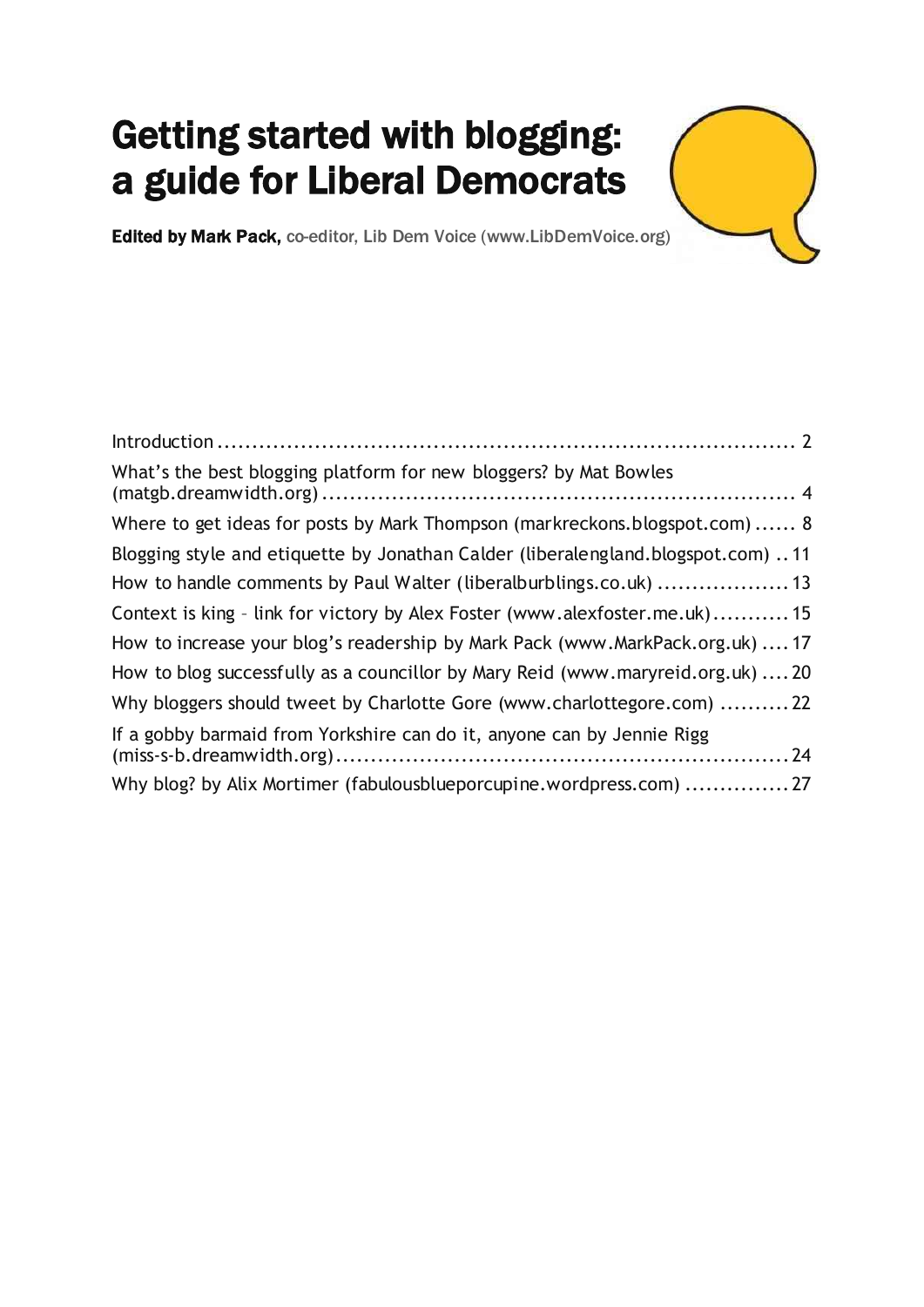# Getting started with blogging: a guide for Liberal Democrats

Edited by Mark Pack, co-editor, Lib Dem Voice [\(www.LibDemVoice.org\)](http://www.libdemvoice.org/)

| What's the best blogging platform for new bloggers? by Mat Bowles               |  |
|---------------------------------------------------------------------------------|--|
| Where to get ideas for posts by Mark Thompson (markreckons.blogspot.com) 8      |  |
| Blogging style and etiquette by Jonathan Calder (liberalengland.blogspot.com)11 |  |
| How to handle comments by Paul Walter (liberalburblings.co.uk) 13               |  |
| Context is king - link for victory by Alex Foster (www.alexfoster.me.uk) 15     |  |
| How to increase your blog's readership by Mark Pack (www.MarkPack.org.uk)  17   |  |
| How to blog successfully as a councillor by Mary Reid (www.maryreid.org.uk)  20 |  |
| Why bloggers should tweet by Charlotte Gore (www.charlottegore.com) 22          |  |
| If a gobby barmaid from Yorkshire can do it, anyone can by Jennie Rigg          |  |
| Why blog? by Alix Mortimer (fabulousblueporcupine.wordpress.com) 27             |  |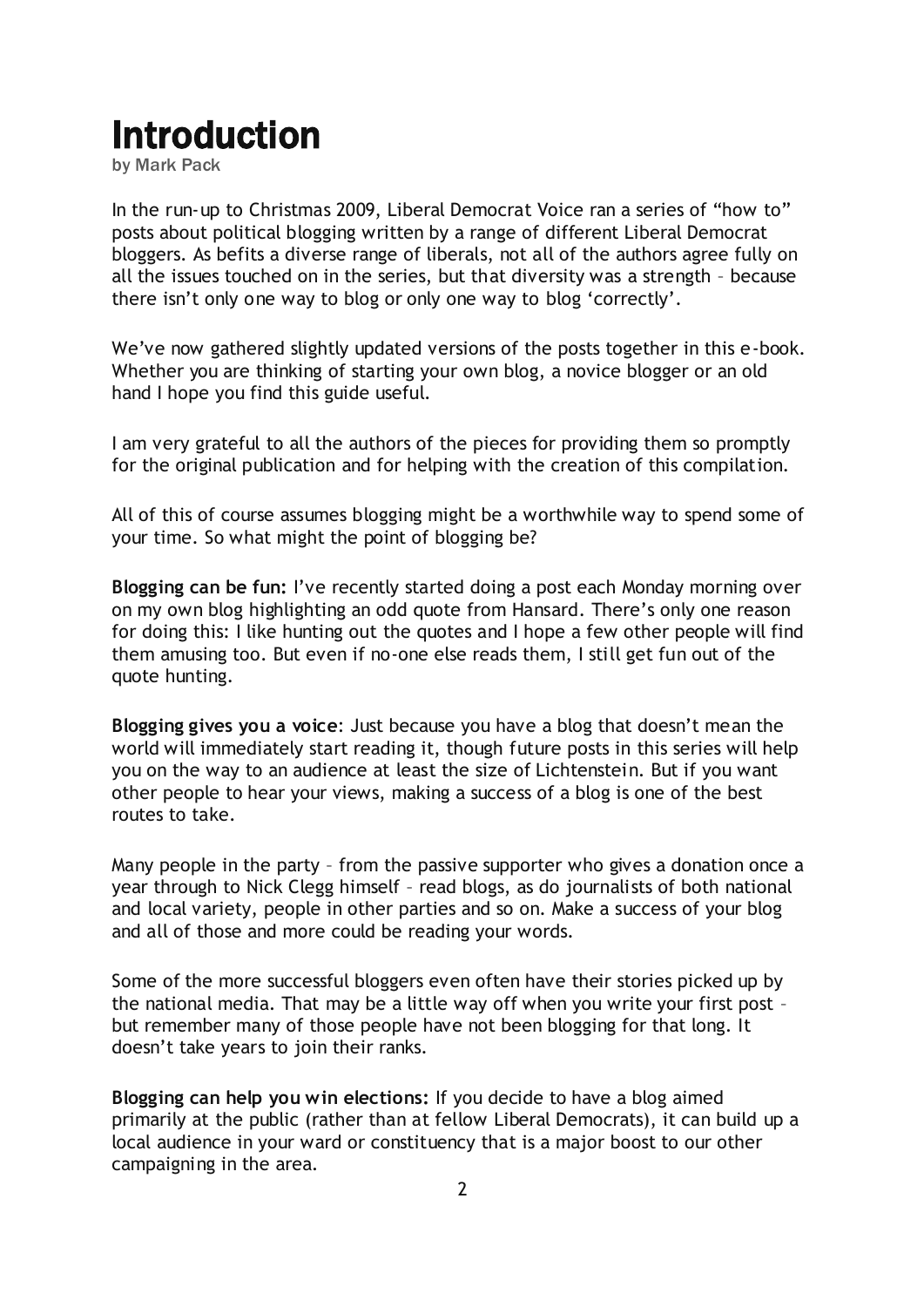# <span id="page-1-0"></span>Introduction

by Mark Pack

In the run-up to Christmas 2009, Liberal Democrat Voice ran a series of "how to" posts about political blogging written by a range of different Liberal Democrat bloggers. As befits a diverse range of liberals, not all of the authors agree fully on all the issues touched on in the series, but that diversity was a strength – because there isn't only one way to blog or only one way to blog 'correctly'.

We've now gathered slightly updated versions of the posts together in this e-book. Whether you are thinking of starting your own blog, a novice blogger or an old hand I hope you find this guide useful.

I am very grateful to all the authors of the pieces for providing them so promptly for the original publication and for helping with the creation of this compilation.

All of this of course assumes blogging might be a worthwhile way to spend some of your time. So what might the point of blogging be?

**Blogging can be fun:** I"ve recently started doing a post each Monday morning over on my own blog highlighting an [odd quote from Hansard](http://www.markpack.org.uk/tag/hansard-gems/). There"s only one reason for doing this: I like hunting out the quotes and I hope a few other people will find them amusing too. But even if no-one else reads them, I still get fun out of the quote hunting.

**Blogging gives you a voice**: Just because you have a blog that doesn"t mean the world will immediately start reading it, though future posts in this series will help you on the way to an audience at least the size of Lichtenstein. But if you want other people to hear your views, making a success of a blog is one of the best routes to take.

Many people in the party – from the passive supporter who gives a donation once a year through to Nick Clegg himself – read blogs, as do journalists of both national and local variety, people in other parties and so on. Make a success of your blog and all of those and more could be reading your words.

Some of the more successful bloggers even often have their stories picked up by the national media. That may be a little way off when you write your first post – but remember many of those people have not been blogging for that long. It doesn"t take years to join their ranks.

**Blogging can help you win elections:** If you decide to have a blog aimed primarily at the public (rather than at fellow Liberal Democrats), it can build up a local audience in your ward or constituency that is a major boost to our other campaigning in the area.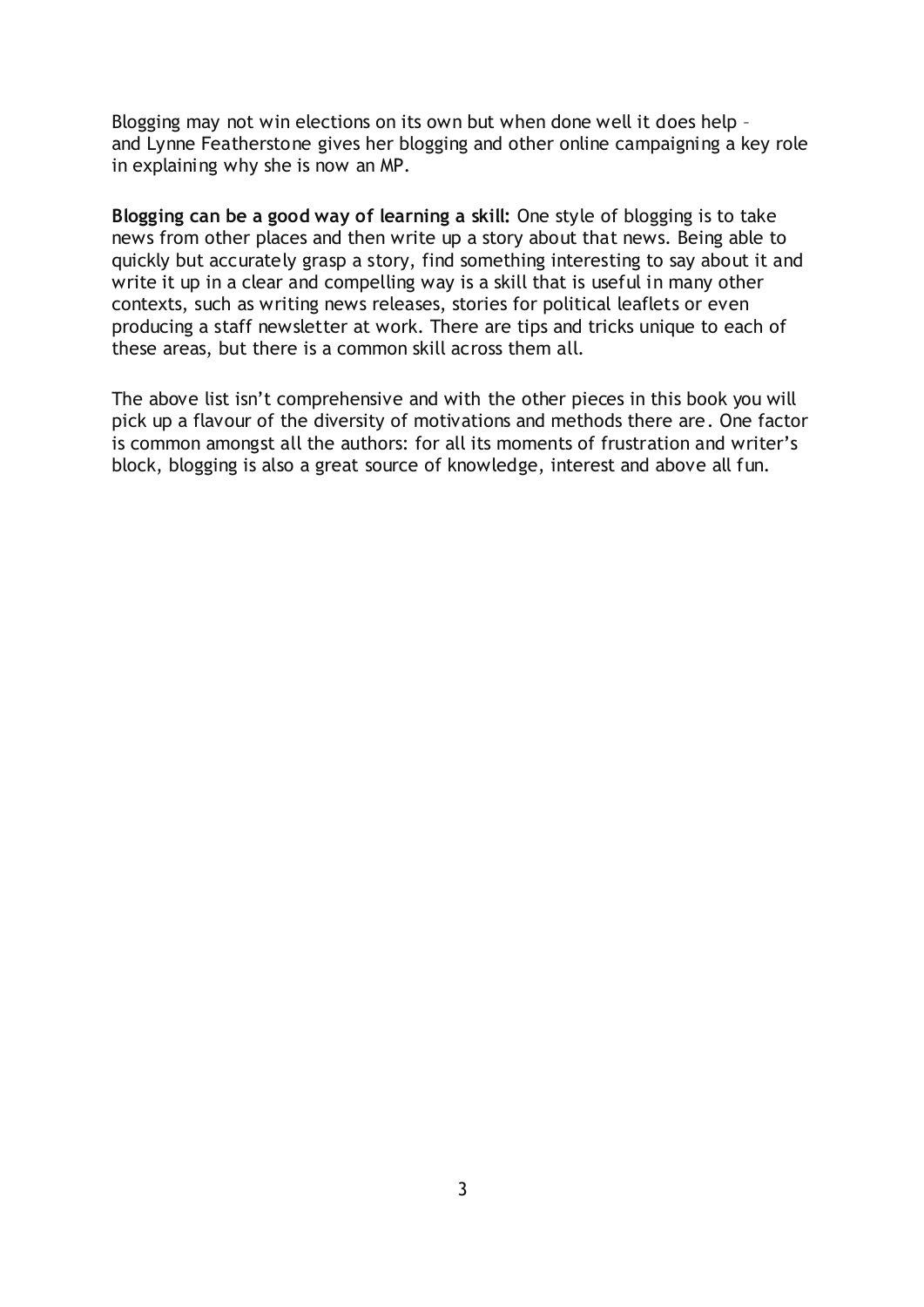Blogging may not win elections on its own but when done well it does help – and [Lynne Featherstone](http://www.lynnefeatherstone.org/) gives her blogging and other online campaigning a key role in explaining why she is now an MP.

**Blogging can be a good way of learning a skill:** One style of blogging is to take news from other places and then write up a story about that news. Being able to quickly but accurately grasp a story, find something interesting to say about it and write it up in a clear and compelling way is a skill that is useful in many other contexts, such as writing news releases, stories for political leaflets or even producing a staff newsletter at work. There are tips and tricks unique to each of these areas, but there is a common skill across them all.

The above list isn't comprehensive and with the other pieces in this book you will pick up a flavour of the diversity of motivations and methods there are. One factor is common amongst all the authors: for all its moments of frustration and writer"s block, blogging is also a great source of knowledge, interest and above all fun.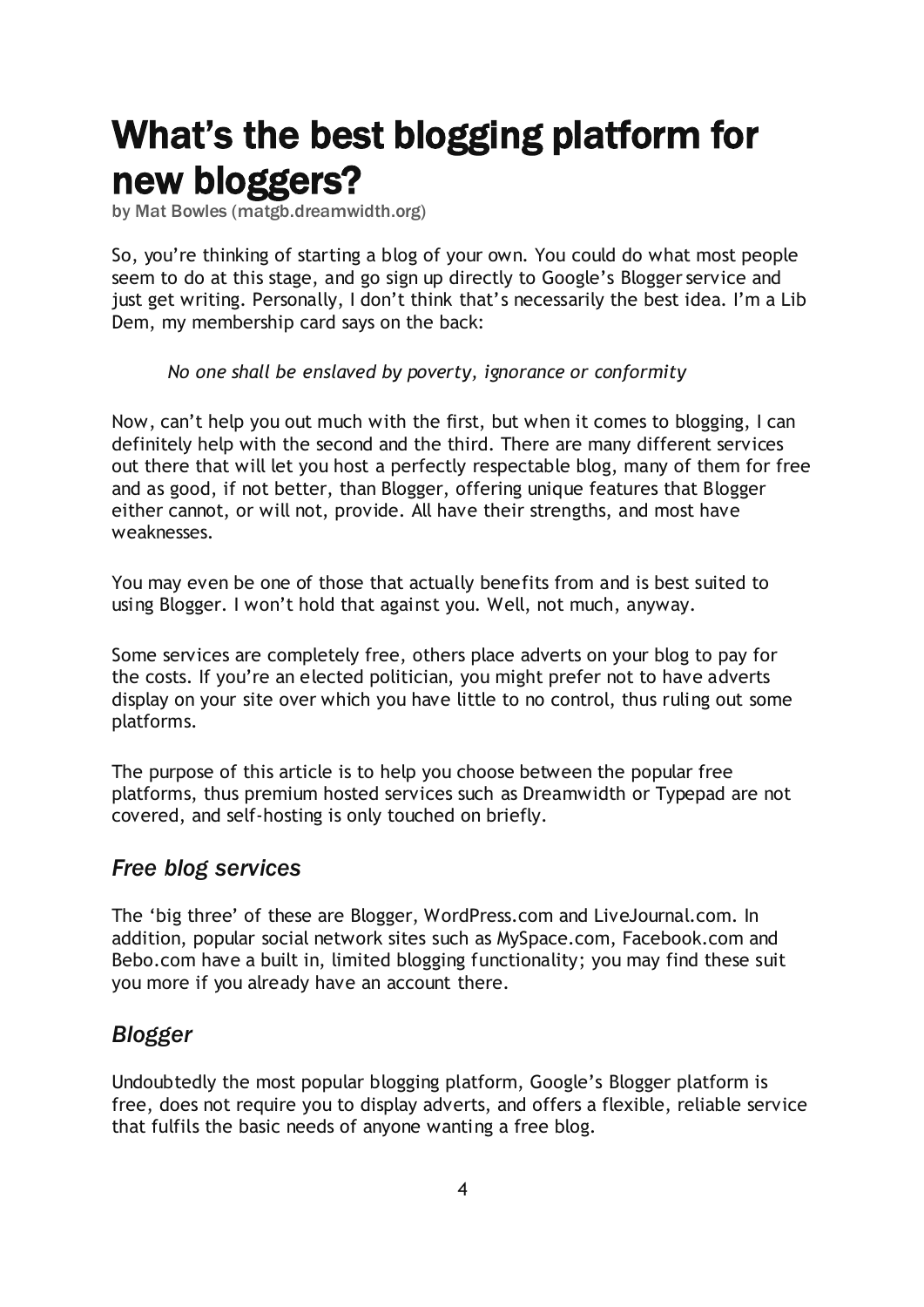# <span id="page-3-0"></span>What's the best blogging platform for new bloggers?

by Mat Bowles [\(matgb.dreamwidth.org\)](http://matgb.dreamwidth.org/)

So, you"re thinking of starting a blog of your own. You could do what most people seem to do at this stage, and go sign up directly to Google"s [Blogger](http://blogger.com/) service and just get writing. Personally, I don't think that's necessarily the best idea. I'm a Lib Dem, my membership card says on the back:

*No one shall be enslaved by poverty, ignorance or conformity*

Now, can"t help you out much with the first, but when it comes to blogging, I can definitely help with the second and the third. There are many different services out there that will let you host a perfectly respectable blog, many of them for free and as good, if not better, than Blogger, offering unique features that Blogger either cannot, or will not, provide. All have their strengths, and most have weaknesses.

You may even be one of those that actually benefits from and is best suited to using Blogger. I won"t hold that against you. Well, not much, anyway.

Some services are completely free, others place adverts on your blog to pay for the costs. If you"re an elected politician, you might prefer not to have adverts display on your site over which you have little to no control, thus ruling out some platforms.

The purpose of this article is to help you choose between the popular free platforms, thus premium hosted services such as [Dreamwidth](http://dreamwidth.org/) or [Typepad](http://typepad.com/) are not covered, and self-hosting is only touched on briefly.

## *Free blog services*

The "big three" of these are [Blogger,](http://blogger.com/) [WordPress.com](http://wordpress.com/) and [LiveJournal.com.](http://livejournal.com/) In addition, popular social network sites such as MySpace.com, Facebook.com and Bebo.com have a built in, limited blogging functionality; you may find these suit you more if you already have an account there.

## *Blogger*

Undoubtedly the most popular blogging platform, Google"s [Blogger platform](http://www.blogger.com/) is free, does not require you to display adverts, and offers a flexible, reliable service that fulfils the basic needs of anyone wanting a free blog.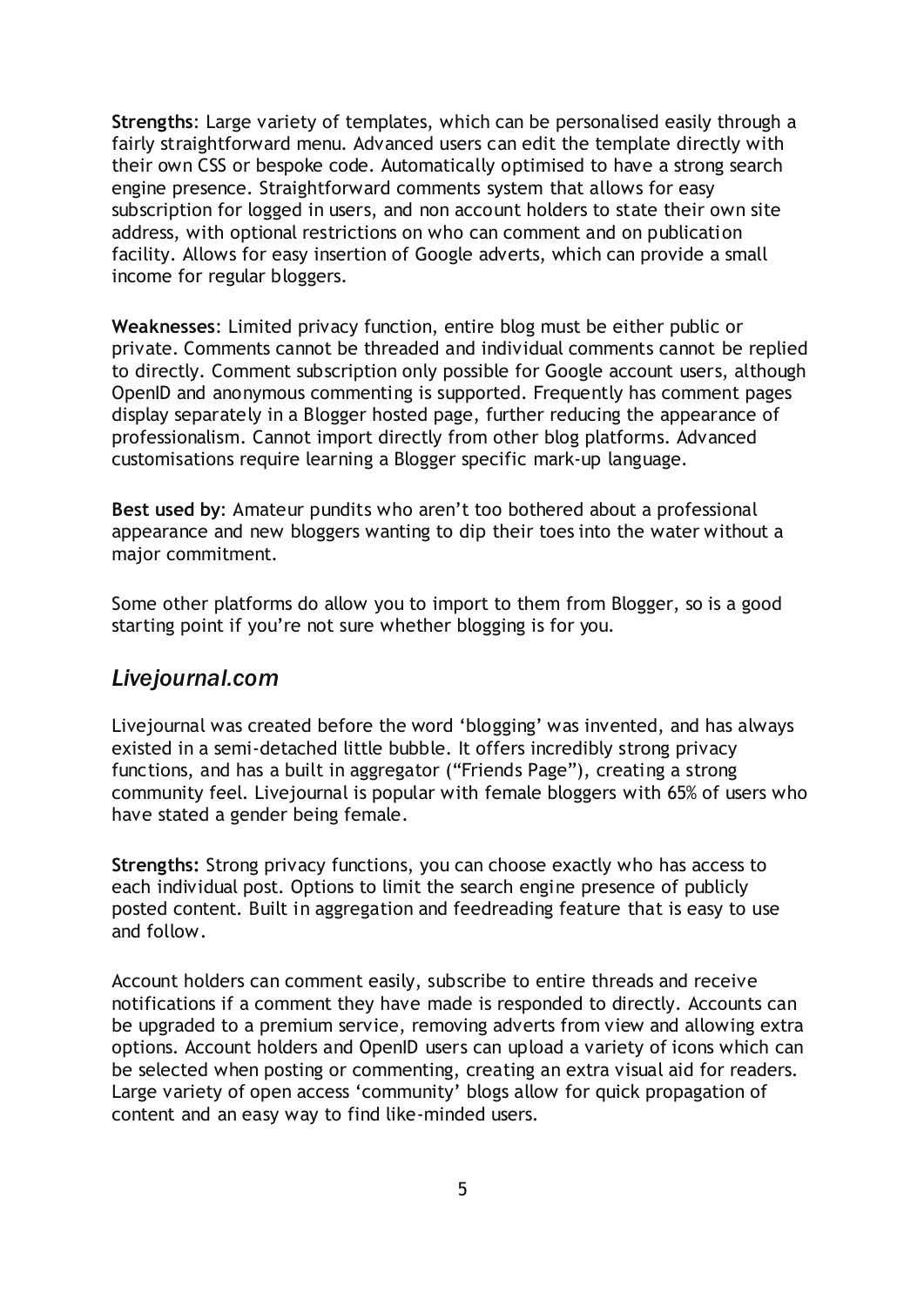**Strengths**: Large variety of templates, which can be personalised easily through a fairly straightforward menu. Advanced users can edit the template directly with their own CSS or bespoke code. Automatically optimised to have a strong search engine presence. Straightforward comments system that allows for easy subscription for logged in users, and non account holders to state their own site address, with optional restrictions on who can comment and on publication facility. Allows for easy insertion of Google adverts, which can provide a small income for regular bloggers.

**Weaknesses**: Limited privacy function, entire blog must be either public or private. Comments cannot be threaded and individual comments cannot be replied to directly. Comment subscription only possible for Google account users, although OpenID and anonymous commenting is supported. Frequently has comment pages display separately in a Blogger hosted page, further reducing the appearance of professionalism. Cannot import directly from other blog platforms. Advanced customisations require learning a Blogger specific mark-up language.

**Best used by**: Amateur pundits who aren"t too bothered about a professional appearance and new bloggers wanting to dip their toes into the water without a major commitment.

Some other platforms do allow you to import to them from Blogger, so is a good starting point if you"re not sure whether blogging is for you.

#### *Livejournal.com*

Livejournal was created before the word "blogging" was invented, and has always existed in a semi-detached little bubble. It offers incredibly strong privacy functions, and has a built in aggregator ("Friends Page"), creating a strong community feel. Livejournal is popular with female bloggers with [65% of users who](http://livejournal.com/stats.bml)  [have stated a gender being female.](http://livejournal.com/stats.bml)

**Strengths:** Strong privacy functions, you can choose exactly who has access to each individual post. Options to limit the search engine presence of publicly posted content. Built in aggregation and feedreading feature that is easy to use and follow.

Account holders can comment easily, subscribe to entire threads and receive notifications if a comment they have made is responded to directly. Accounts can be upgraded to a premium service, removing adverts from view and allowing extra options. Account holders and OpenID users can upload a variety of icons which can be selected when posting or commenting, creating an extra visual aid for readers. Large variety of open access 'community' blogs allow for quick propagation of content and an easy way to find like-minded users.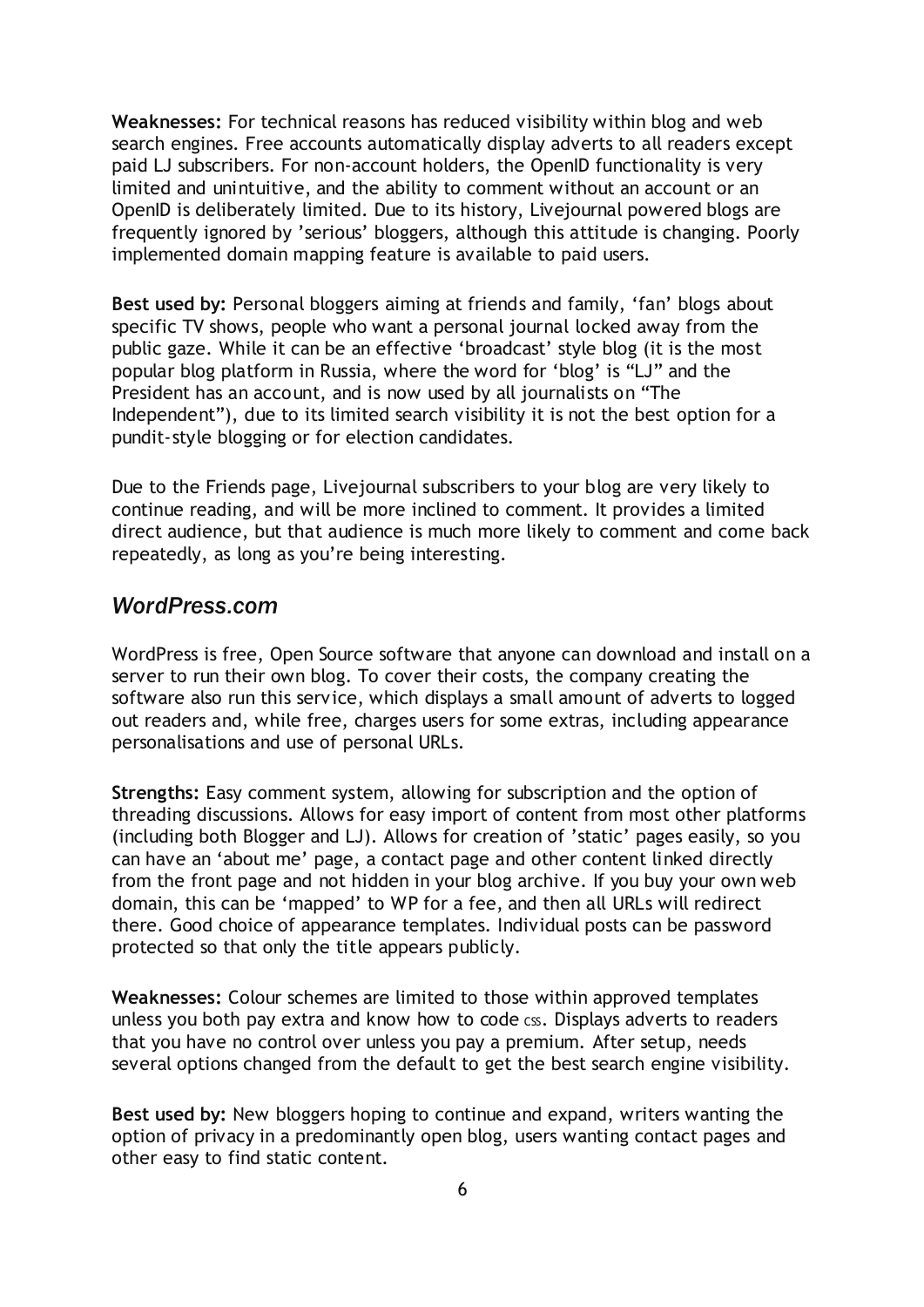**Weaknesses:** For technical reasons has reduced visibility within blog and web search engines. Free accounts automatically display adverts to all readers except paid LJ subscribers. For non-account holders, the OpenID functionality is very limited and unintuitive, and the ability to comment without an account or an OpenID is deliberately limited. Due to its history, Livejournal powered blogs are frequently ignored by "serious" bloggers, although this attitude is changing. Poorly implemented domain mapping feature is available to paid users.

**Best used by:** Personal bloggers aiming at friends and family, "fan" blogs about specific TV shows, people who want a personal journal locked away from the public gaze. While it can be an effective 'broadcast' style blog (it is the most popular blog platform in Russia, where the word for "blog" is "LJ" and the President has an account, and is now used by all journalists on "The Independent"), due to its limited search visibility it is not the best option for a pundit-style blogging or for election candidates.

Due to the Friends page, Livejournal subscribers to your blog are very likely to continue reading, and will be more inclined to comment. It provides a limited direct audience, but that audience is much more likely to comment and come back repeatedly, as long as you"re being interesting.

#### *WordPress.com*

WordPress is free, Open Source software that anyone can download and install on a server to run their own blog. To cover their costs, the company creating the software also run this service, which displays a small amount of adverts to logged out readers and, while free, charges users for some extras, including appearance personalisations and use of personal URLs.

**Strengths:** Easy comment system, allowing for subscription and the option of threading discussions. Allows for easy import of content from most other platforms (including both Blogger and LJ). Allows for creation of "static" pages easily, so you can have an "about me" page, a contact page and other content linked directly from the front page and not hidden in your blog archive. If you buy your own web domain, this can be "mapped" to WP for a fee, and then all URLs will redirect there. Good choice of appearance templates. Individual posts can be password protected so that only the title appears publicly.

**Weaknesses:** Colour schemes are limited to those within approved templates unless you both pay extra and know how to code css. Displays adverts to readers that you have no control over unless you pay a premium. After setup, needs several options changed from the default to get the best search engine visibility.

**Best used by:** New bloggers hoping to continue and expand, writers wanting the option of privacy in a predominantly open blog, users wanting contact pages and other easy to find static content.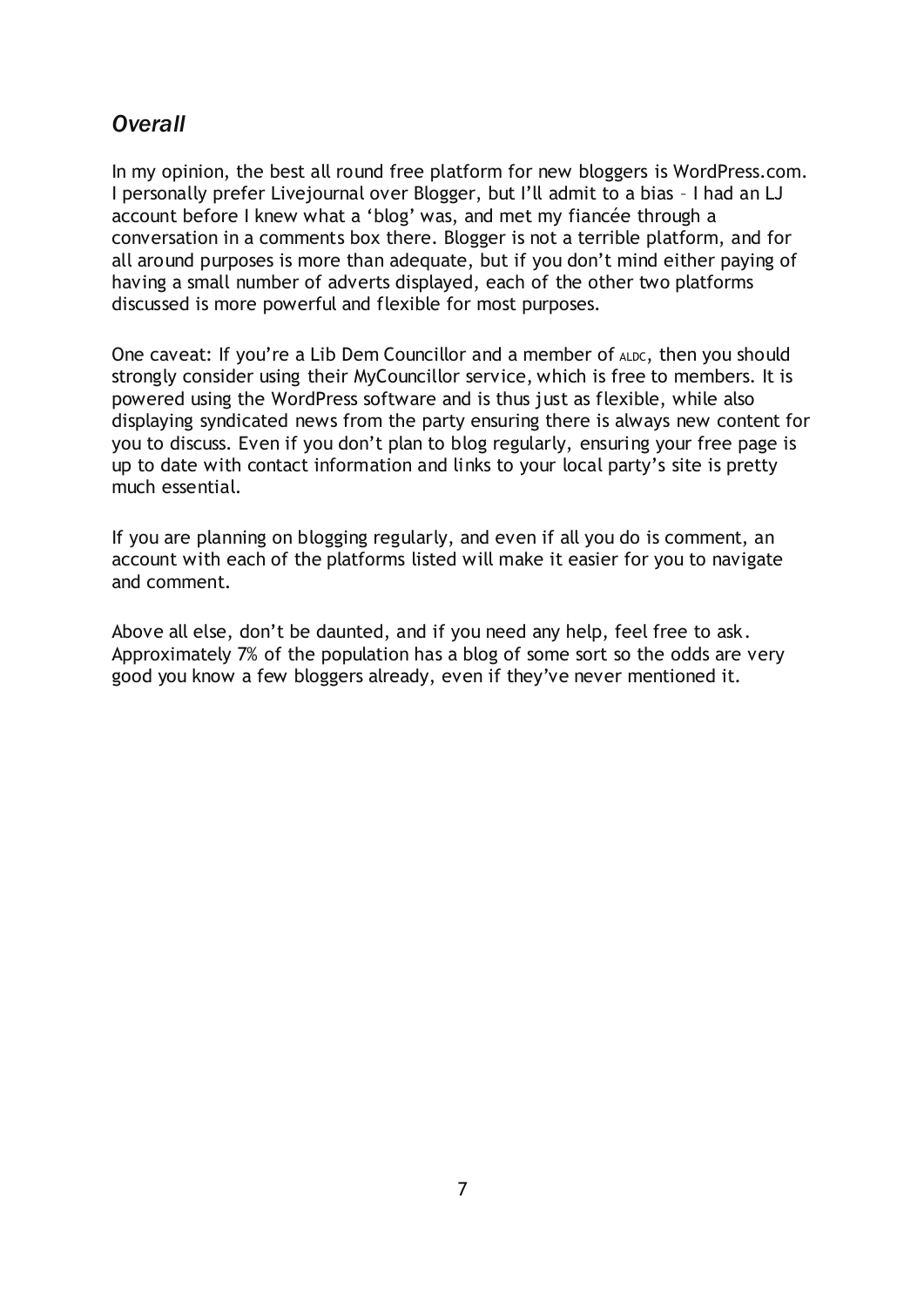## *Overall*

In my opinion, the best all round free platform for new bloggers is [WordPress.com.](http://wordpress.com/) I personally prefer Livejournal over Blogger, but I"ll admit to a bias – I had an LJ account before I knew what a "blog" was, and met my fiancée through a conversation in a comments box there. Blogger is not a terrible platform, and for all around purposes is more than adequate, but if you don"t mind either paying of having a small number of adverts displayed, each of the other two platforms discussed is more powerful and flexible for most purposes.

One caveat: If you're a Lib Dem Councillor and a member of ALDC, then you should strongly consider using their [MyCouncillor](http://www.mycouncillor.org.uk/) service, which is free to members. It is powered using the WordPress software and is thus just as flexible, while also displaying syndicated news from the party ensuring there is always new content for you to discuss. Even if you don"t plan to blog regularly, ensuring your free page is up to date with contact information and links to your local party"s site is pretty much essential.

If you are planning on blogging regularly, and even if all you do is comment, an account with each of the platforms listed will make it easier for you to navigate and comment.

Above all else, don"t be daunted, and if you need any help, feel free to ask. [Approximately 7% of the population has a blog of some sort](http://www.thinkbroadband.com/news/3669-24-percent-of-uk-says-it-does-not-want-internet-access.html) so the odds are very good you know a few bloggers already, even if they"ve never mentioned it.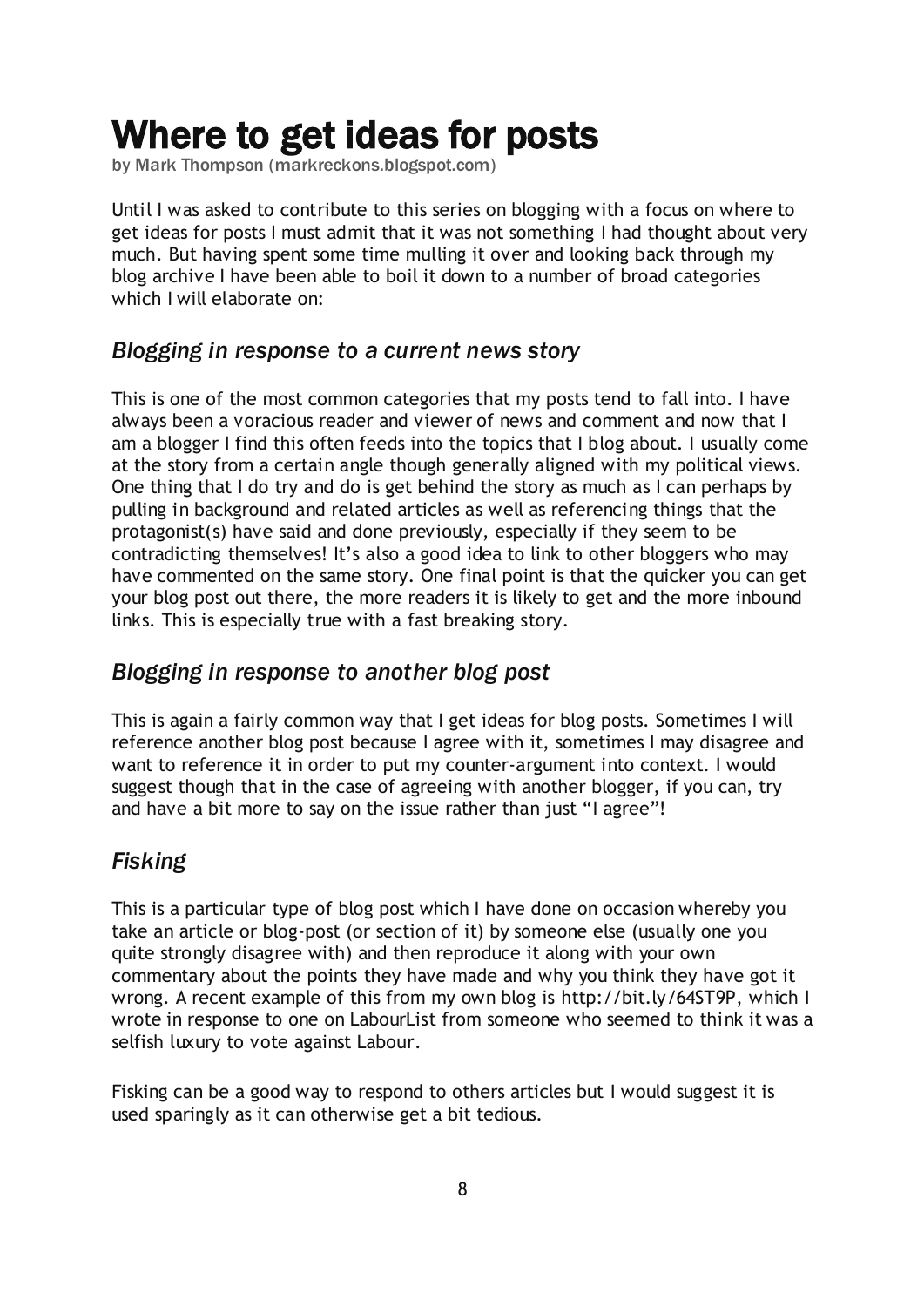## <span id="page-7-0"></span>Where to get ideas for posts

by Mark Thompson [\(markreckons.blogspot.com\)](http://markreckons.blogspot.com/)

Until I was asked to contribute to this series on blogging with a focus on where to get ideas for posts I must admit that it was not something I had thought about very much. But having spent some time mulling it over and looking back through my blog archive I have been able to boil it down to a number of broad categories which I will elaborate on:

### *Blogging in response to a current news story*

This is one of the most common categories that my posts tend to fall into. I have always been a voracious reader and viewer of news and comment and now that I am a blogger I find this often feeds into the topics that I blog about. I usually come at the story from a certain angle though generally aligned with my political views. One thing that I do try and do is get behind the story as much as I can perhaps by pulling in background and related articles as well as referencing things that the protagonist(s) have said and done previously, especially if they seem to be contradicting themselves! It"s also a good idea to link to other bloggers who may have commented on the same story. One final point is that the quicker you can get your blog post out there, the more readers it is likely to get and the more inbound links. This is especially true with a fast breaking story.

## *Blogging in response to another blog post*

This is again a fairly common way that I get ideas for blog posts. Sometimes I will reference another blog post because I agree with it, sometimes I may disagree and want to reference it in order to put my counter-argument into context. I would suggest though that in the case of agreeing with another blogger, if you can, try and have a bit more to say on the issue rather than just "I agree"!

## *Fisking*

This is a particular type of blog post which I have done on occasion whereby you take an article or blog-post (or section of it) by someone else (usually one you quite strongly disagree with) and then reproduce it along with your own commentary about the points they have made and why you think they have got it wrong. A recent example of this from my own blog is [http://bit.ly/64ST9P,](http://bit.ly/64ST9P) which I wrote in response to one on LabourList from someone who seemed to think it was a selfish luxury to vote against Labour.

Fisking can be a good way to respond to others articles but I would suggest it is used sparingly as it can otherwise get a bit tedious.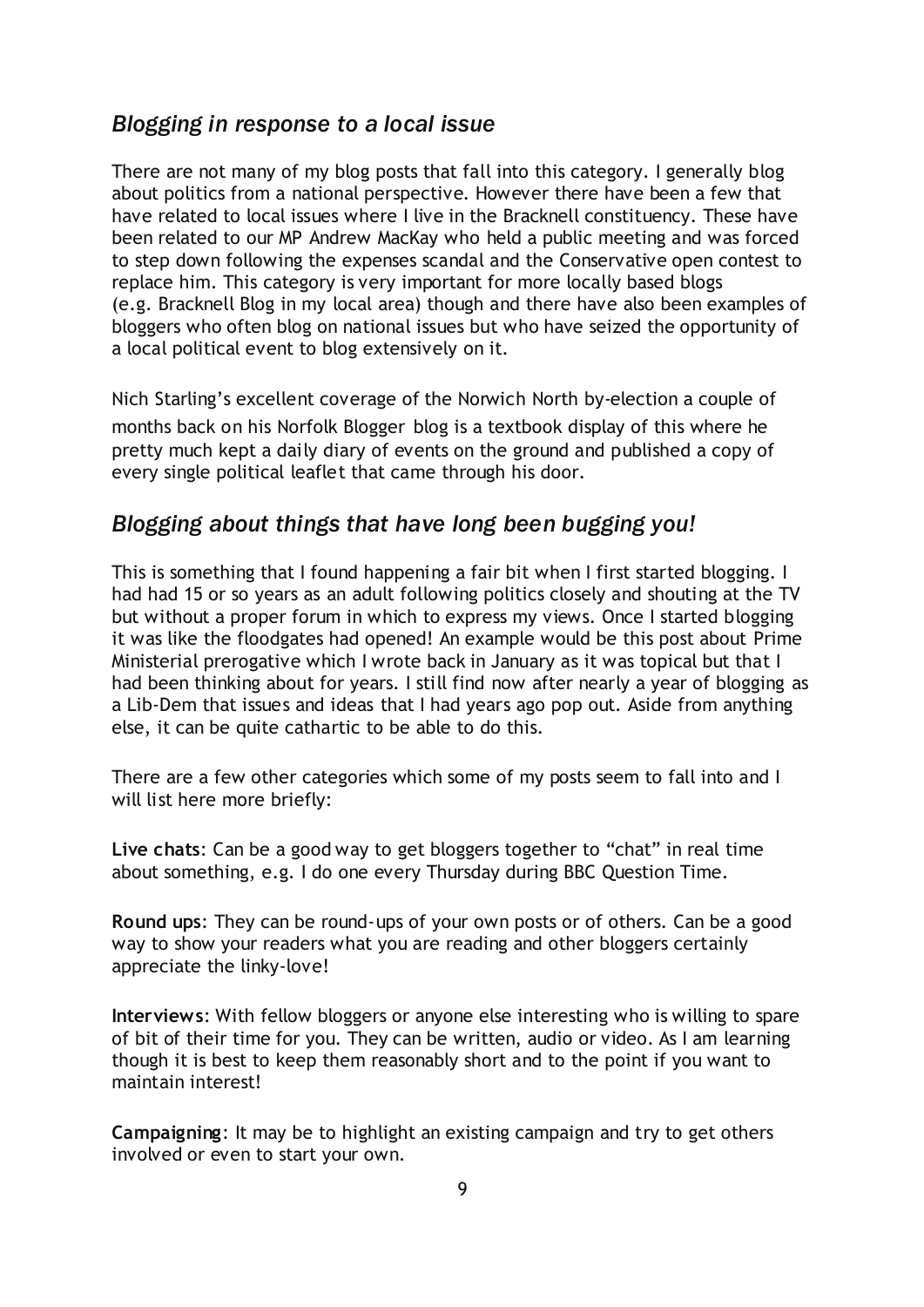### *Blogging in response to a local issue*

There are not many of my blog posts that fall into this category. I generally blog about politics from a national perspective. However there have been a few that have related to local issues where I live in the Bracknell constituency. These have been related to our MP Andrew MacKay who [held a public meeting and was forced](http://markreckons.blogspot.com/2009/05/i-think-andrew-mackays-position-is-now.html)  [to step down](http://markreckons.blogspot.com/2009/05/i-think-andrew-mackays-position-is-now.html) following the expenses scandal and the Conservative open contest to replace him. This category is very important for more locally based blogs (e.g. [Bracknell Blog](http://bracknellblog.blogspot.com/) in my local area) though and there have also been examples of bloggers who often blog on national issues but who have seized the opportunity of a local political event to blog extensively on it.

Nich Starling"s excellent coverage of the Norwich North by-election a couple of months back on his [Norfolk Blogger](http://norfolkblogger.blogspot.com/) blog is a textbook display of this where he pretty much kept a daily diary of events on the ground and published a copy of every single political leaflet that came through his door.

### *Blogging about things that have long been bugging you!*

This is something that I found happening a fair bit when I first started blogging. I had had 15 or so years as an adult following politics closely and shouting at the TV but without a proper forum in which to express my views. Once I started blogging it was like the floodgates had opened! An example would be this post about [Prime](http://markreckons.blogspot.com/2009/01/prime-ministerial-prerogative.html)  [Ministerial prerogative](http://markreckons.blogspot.com/2009/01/prime-ministerial-prerogative.html) which I wrote back in January as it was topical but that I had been thinking about for years. I still find now after nearly a year of blogging as a Lib-Dem that issues and ideas that I had years ago pop out. Aside from anything else, it can be quite cathartic to be able to do this.

There are a few other categories which some of my posts seem to fall into and I will list here more briefly:

**Live chats**: Can be a good way to get bloggers together to "chat" in real time about something, e.g. I do one every Thursday during BBC Question Time.

**Round ups**: They can be round-ups of your own posts or of others. Can be a good way to show your readers what you are reading and other bloggers certainly appreciate the linky-love!

**Interviews**: With fellow bloggers or anyone else interesting who is willing to spare of bit of their time for you. They can be written, audio or video. As I am learning though it is best to keep them reasonably short and to the point if you want to maintain interest!

**Campaigning**: It may be to highlight an existing campaign and try to get others involved or even to start your own.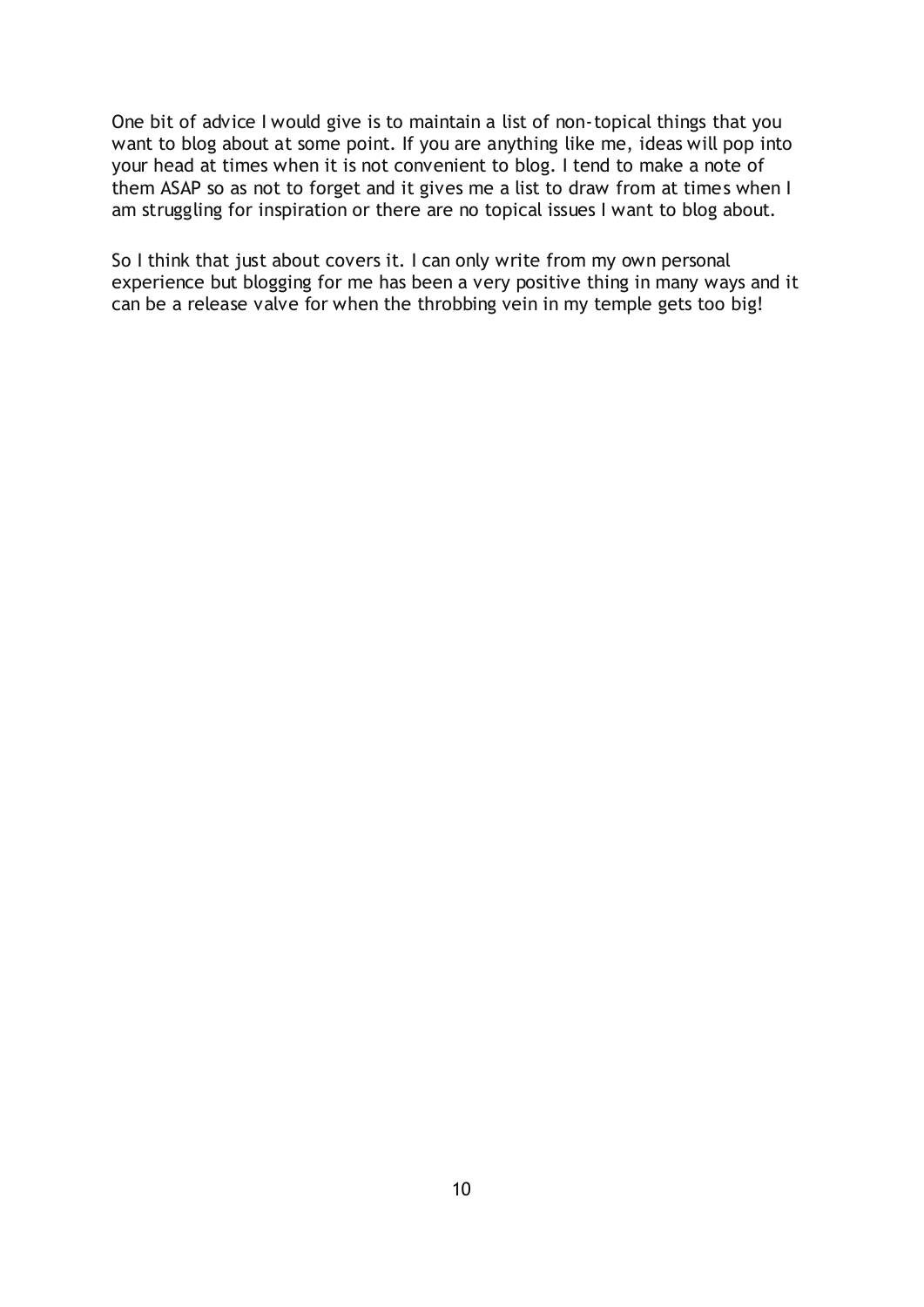One bit of advice I would give is to maintain a list of non-topical things that you want to blog about at some point. If you are anything like me, ideas will pop into your head at times when it is not convenient to blog. I tend to make a note of them ASAP so as not to forget and it gives me a list to draw from at times when I am struggling for inspiration or there are no topical issues I want to blog about.

So I think that just about covers it. I can only write from my own personal experience but blogging for me has been a very positive thing in many ways and it can be a release valve for when the throbbing vein in my temple gets too big!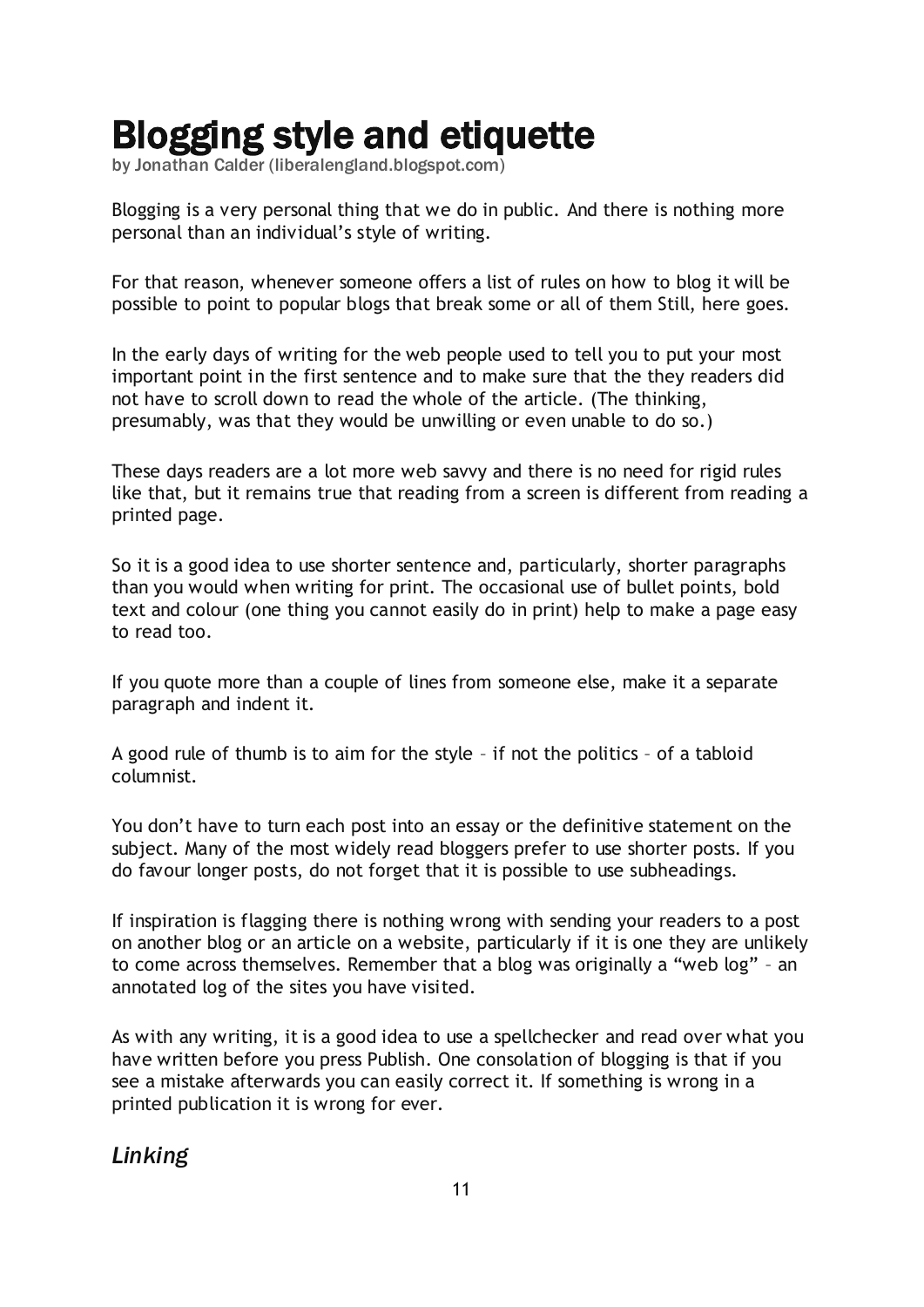# <span id="page-10-0"></span>Blogging style and etiquette

by Jonathan Calder [\(liberalengland.blogspot.com\)](http://liberalengland.blogspot.com/)

Blogging is a very personal thing that we do in public. And there is nothing more personal than an individual"s style of writing.

For that reason, whenever someone offers a list of rules on how to blog it will be possible to point to popular blogs that break some or all of them Still, here goes.

In the early days of writing for the web people used to tell you to put your most important point in the first sentence and to make sure that the they readers did not have to scroll down to read the whole of the article. (The thinking, presumably, was that they would be unwilling or even unable to do so.)

These days readers are a lot more web savvy and there is no need for rigid rules like that, but it remains true that reading from a screen is different from reading a printed page.

So it is a good idea to use shorter sentence and, particularly, shorter paragraphs than you would when writing for print. The occasional use of bullet points, bold text and colour (one thing you cannot easily do in print) help to make a page easy to read too.

If you quote more than a couple of lines from someone else, make it a separate paragraph and indent it.

A good rule of thumb is to aim for the style – if not the politics – of a tabloid columnist.

You don"t have to turn each post into an essay or the definitive statement on the subject. Many of the most widely read bloggers prefer to use shorter posts. If you do favour longer posts, do not forget that it is possible to use subheadings.

If inspiration is flagging there is nothing wrong with sending your readers to a post on another blog or an article on a website, particularly if it is one they are unlikely to come across themselves. Remember that a blog was originally a "web log" – an annotated log of the sites you have visited.

As with any writing, it is a good idea to use a spellchecker and read over what you have written before you press Publish. One consolation of blogging is that if you see a mistake afterwards you can easily correct it. If something is wrong in a printed publication it is wrong for ever.

## *Linking*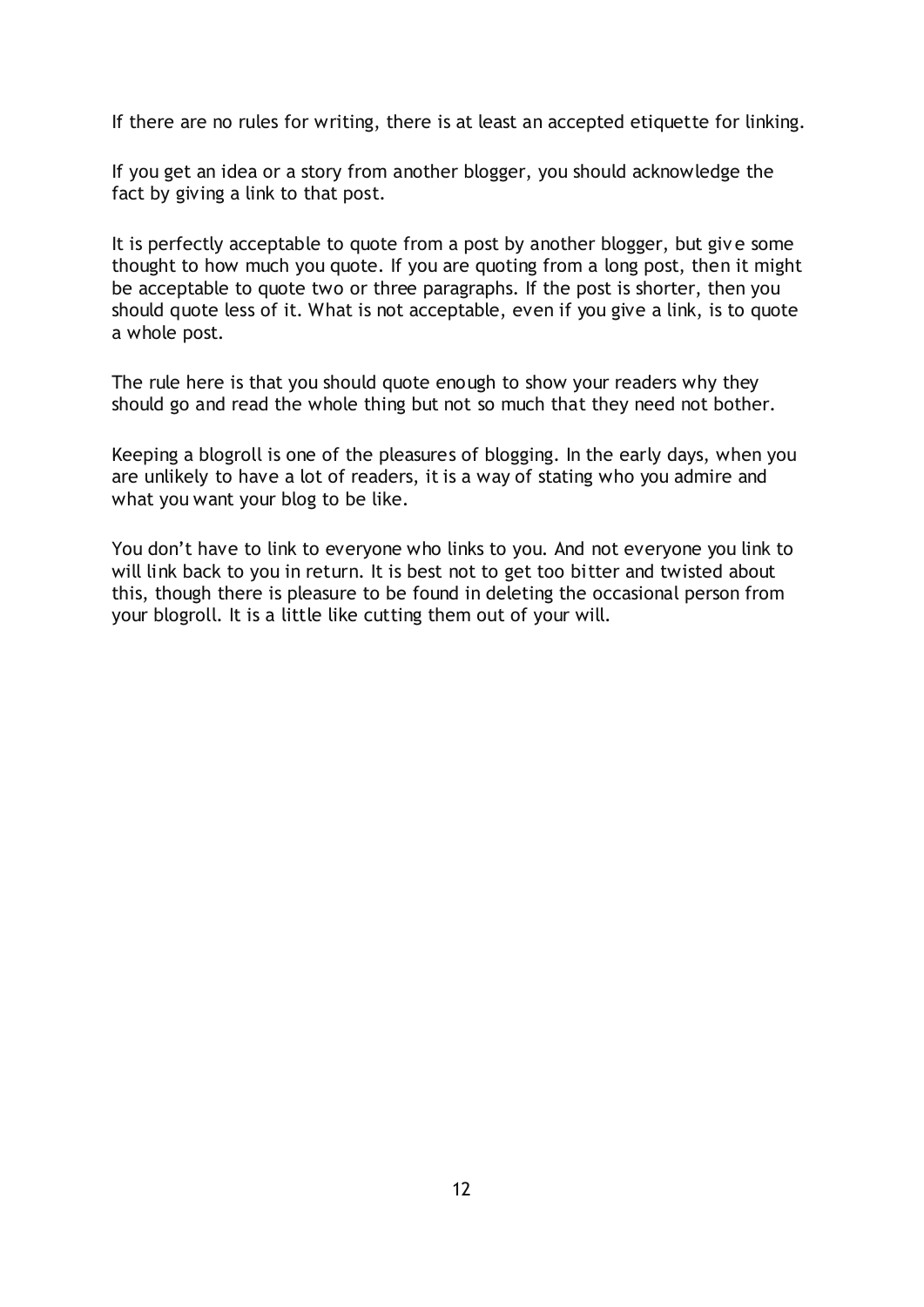If there are no rules for writing, there is at least an accepted etiquette for linking.

If you get an idea or a story from another blogger, you should acknowledge the fact by giving a link to that post.

It is perfectly acceptable to quote from a post by another blogger, but giv e some thought to how much you quote. If you are quoting from a long post, then it might be acceptable to quote two or three paragraphs. If the post is shorter, then you should quote less of it. What is not acceptable, even if you give a link, is to quote a whole post.

The rule here is that you should quote enough to show your readers why they should go and read the whole thing but not so much that they need not bother.

Keeping a blogroll is one of the pleasures of blogging. In the early days, when you are unlikely to have a lot of readers, it is a way of stating who you admire and what you want your blog to be like.

You don"t have to link to everyone who links to you. And not everyone you link to will link back to you in return. It is best not to get too bitter and twisted about this, though there is pleasure to be found in deleting the occasional person from your blogroll. It is a little like cutting them out of your will.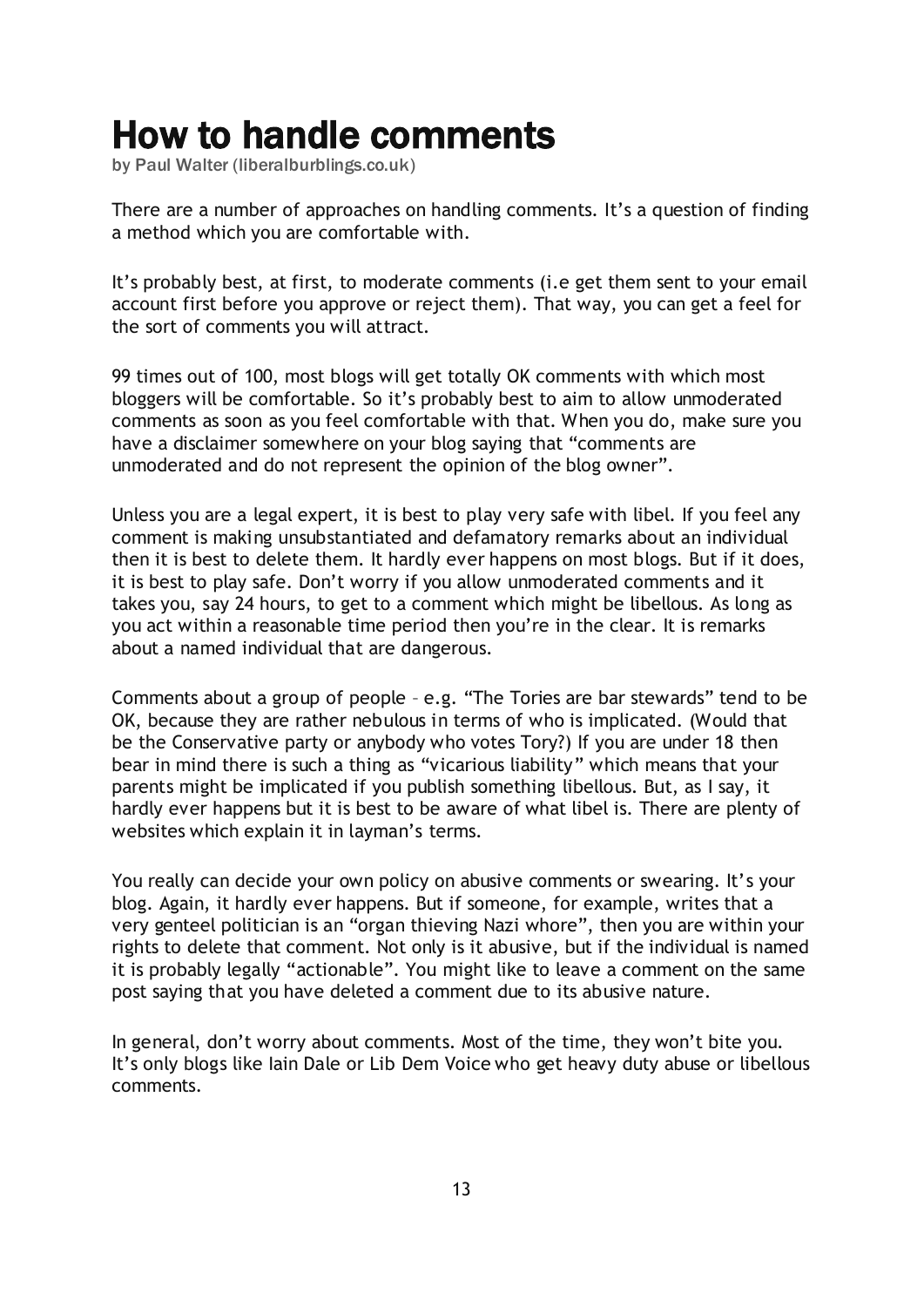## <span id="page-12-0"></span>How to handle comments

by Paul Walter [\(liberalburblings.co.uk\)](http://liberalburblings.co.uk/)

There are a number of approaches on handling comments. It's a question of finding a method which you are comfortable with.

It"s probably best, at first, to moderate comments (i.e get them sent to your email account first before you approve or reject them). That way, you can get a feel for the sort of comments you will attract.

99 times out of 100, most blogs will get totally OK comments with which most bloggers will be comfortable. So it"s probably best to aim to allow unmoderated comments as soon as you feel comfortable with that. When you do, make sure you have a disclaimer somewhere on your blog saying that "comments are unmoderated and do not represent the opinion of the blog owner".

Unless you are a legal expert, it is best to play very safe with libel. If you feel any comment is making unsubstantiated and defamatory remarks about an individual then it is best to delete them. It hardly ever happens on most blogs. But if it does, it is best to play safe. Don"t worry if you allow unmoderated comments and it takes you, say 24 hours, to get to a comment which might be libellous. As long as you act within a reasonable time period then you"re in the clear. It is remarks about a named individual that are dangerous.

Comments about a group of people – e.g. "The Tories are bar stewards" tend to be OK, because they are rather nebulous in terms of who is implicated. (Would that be the Conservative party or anybody who votes Tory?) If you are under 18 then bear in mind there is such a thing as "vicarious liability" which means that your parents might be implicated if you publish something libellous. But, as I say, it hardly ever happens but it is best to be aware of what libel is. There are plenty of websites which explain it in layman's terms.

You really can decide your own policy on abusive comments or swearing. It's your blog. Again, it hardly ever happens. But if someone, for example, writes that a very genteel politician is an "organ thieving Nazi whore", then you are within your rights to delete that comment. Not only is it abusive, but if the individual is named it is probably legally "actionable". You might like to leave a comment on the same post saying that you have deleted a comment due to its abusive nature.

In general, don"t worry about comments. Most of the time, they won"t bite you. It"s only blogs like Iain Dale or Lib Dem Voice who get heavy duty abuse or libellous comments.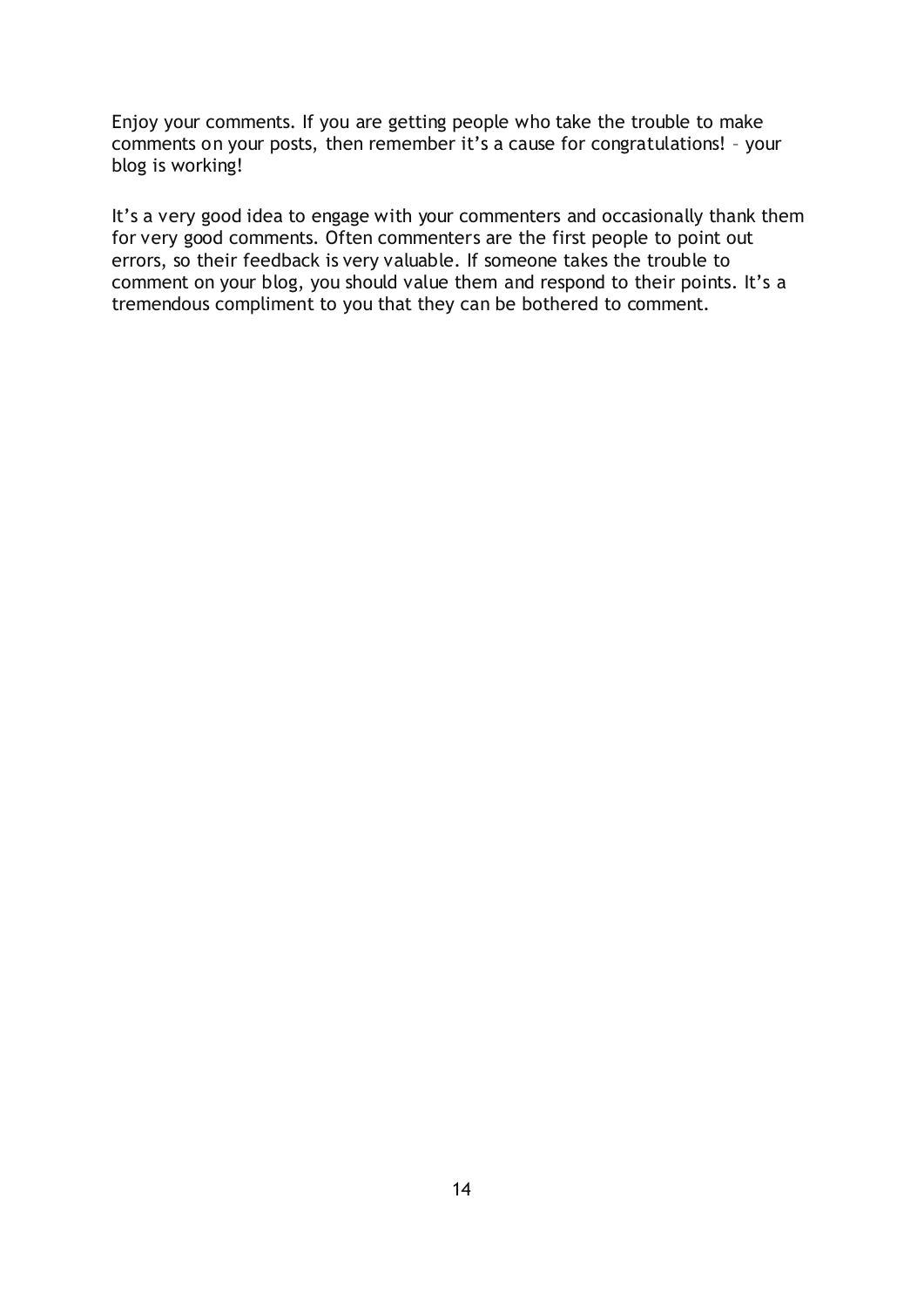Enjoy your comments. If you are getting people who take the trouble to make comments on your posts, then remember it's a cause for congratulations! - your blog is working!

It's a very good idea to engage with your commenters and occasionally thank them for very good comments. Often commenters are the first people to point out errors, so their feedback is very valuable. If someone takes the trouble to comment on your blog, you should value them and respond to their points. It's a tremendous compliment to you that they can be bothered to comment.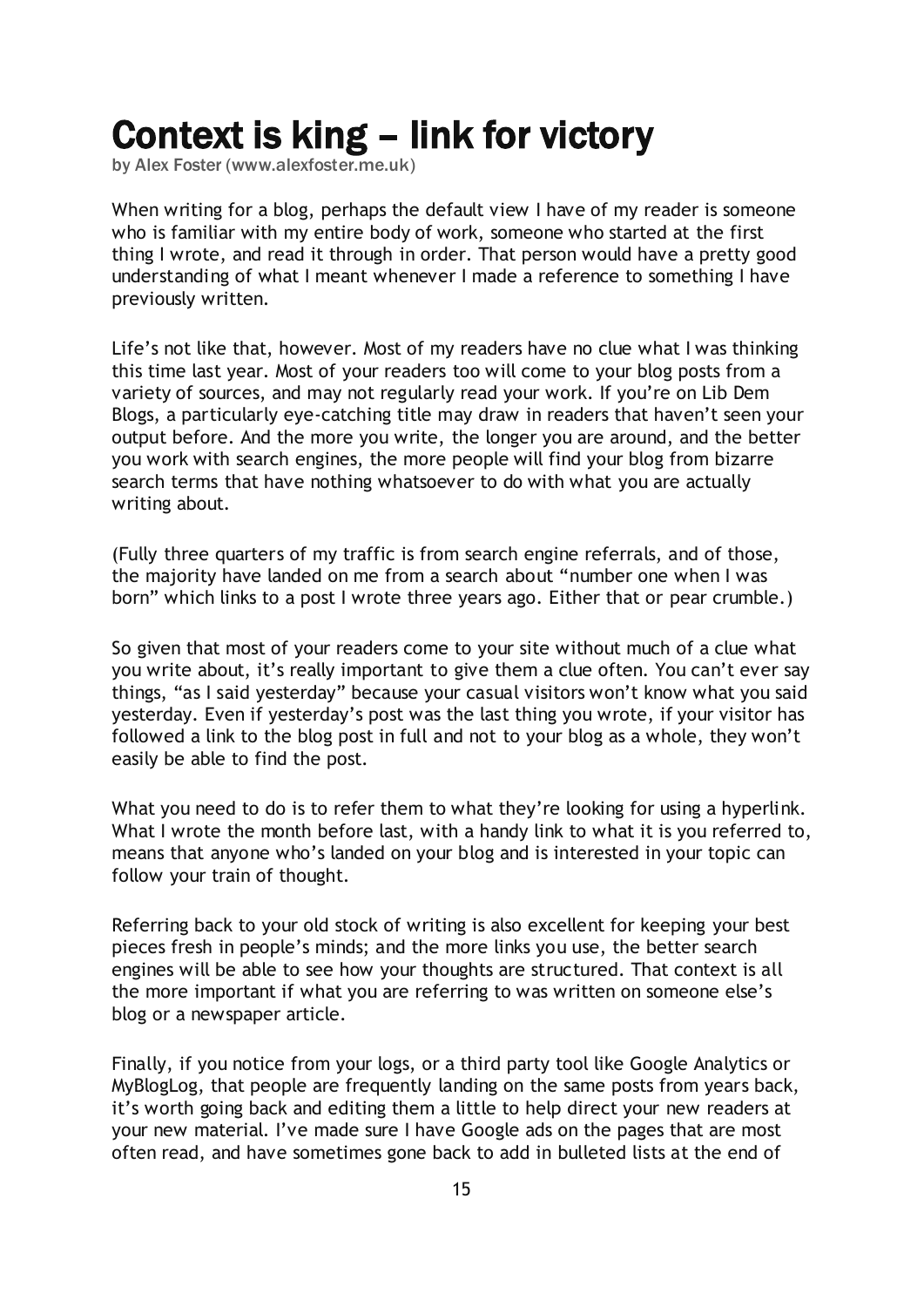# <span id="page-14-0"></span>Context is king – link for victory

by Alex Foster [\(www.alexfoster.me.uk\)](http://www.alexfoster.me.uk/)

When writing for a blog, perhaps the default view I have of my reader is someone who is familiar with my entire body of work, someone who started at the first thing I wrote, and read it through in order. That person would have a pretty good understanding of what I meant whenever I made a reference to something I have previously written.

Life's not like that, however. Most of my readers have no clue what I was thinking this time last year. Most of your readers too will come to your blog posts from a variety of sources, and may not regularly read your work. If you"re on Lib Dem Blogs, a particularly eye-catching title may draw in readers that haven't seen your output before. And the more you write, the longer you are around, and the better you work with search engines, the more people will find your blog from bizarre search terms that have nothing whatsoever to do with what you are actually writing about.

(Fully three quarters of my traffic is from search engine referrals, and of those, the majority have landed on me from a search about "[number one when I was](http://www.alexfoster.me.uk/2006/08/28/number-one-when-you-were-born/)  [born](http://www.alexfoster.me.uk/2006/08/28/number-one-when-you-were-born/)" which links to a post I wrote three years ago. Either that or [pear crumble.](http://www.alexfoster.me.uk/2007/05/26/pear-crumble/))

So given that most of your readers come to your site without much of a clue what you write about, it's really important to give them a clue often. You can't ever say things, "as I said yesterday" because your casual visitors won"t know what you said yesterday. Even if yesterday"s post was the last thing you wrote, if your visitor has followed a link to the blog post in full and not to your blog as a whole, they won"t easily be able to find the post.

What you need to do is to refer them to what they're looking for using a hyperlink. What I wrote [the month before last,](http://www.libdemvoice.org/browns-id-card-loopholes-lab09-16336.html) with a handy link to what it is you referred to, means that anyone who"s landed on your blog and is interested in your topic can follow your train of thought.

Referring back to your old stock of writing is also excellent for keeping your best pieces fresh in people"s minds; and the more links you use, the better search engines will be able to see how your thoughts are structured. That context is all the more important if what you are referring to was written on someone else"s blog or a newspaper article.

Finally, if you notice from your logs, or a third party tool like Google Analytics or MyBlogLog, that people are frequently landing on the same posts from years back, it"s worth going back and editing them a little to help direct your new readers at your new material. I've made sure I have Google ads on the pages that are most often read, and have sometimes gone back to add in bulleted lists at the end of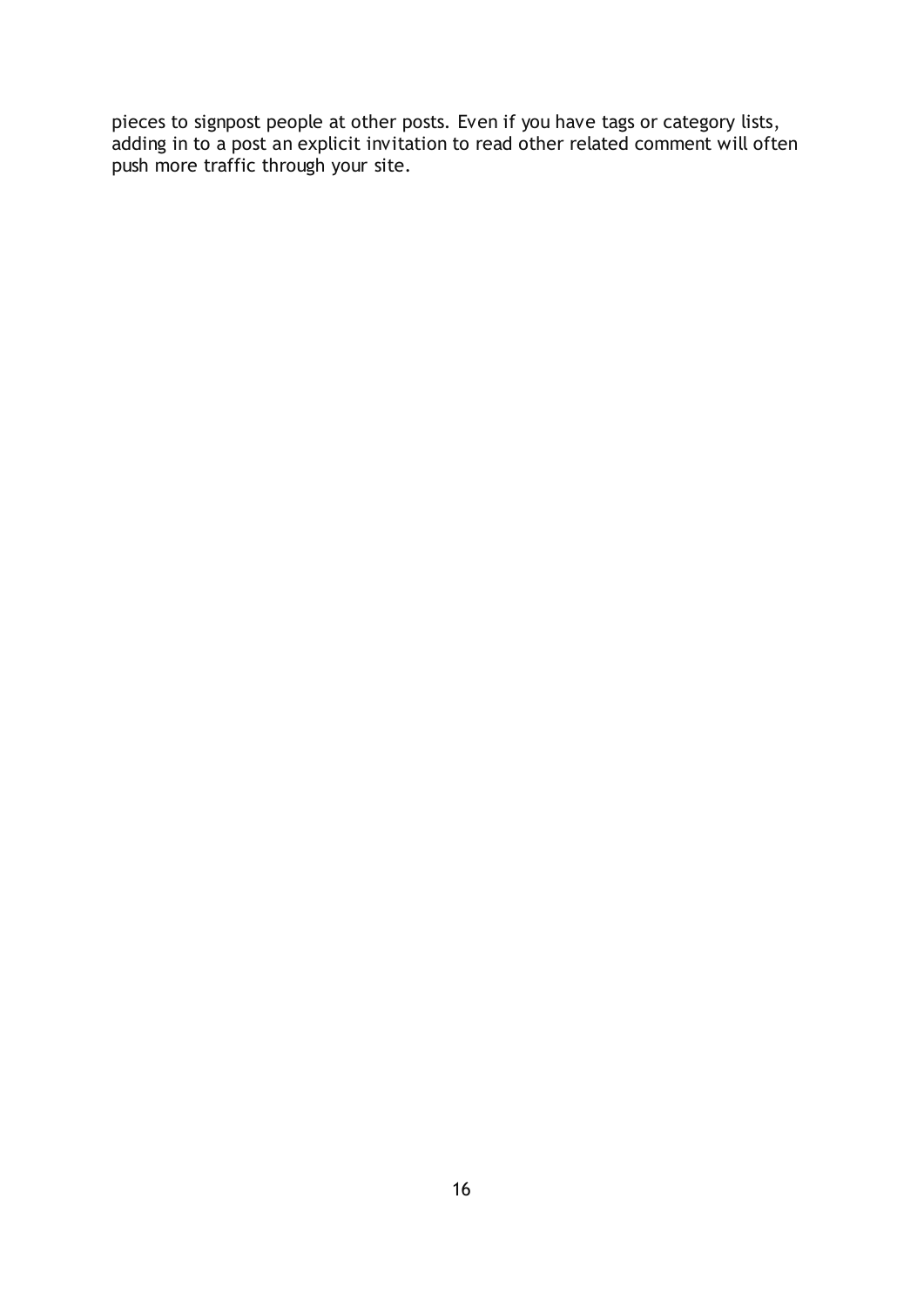pieces to signpost people at other posts. Even if you have tags or category lists, adding in to a post an explicit invitation to read other related comment will often push more traffic through your site.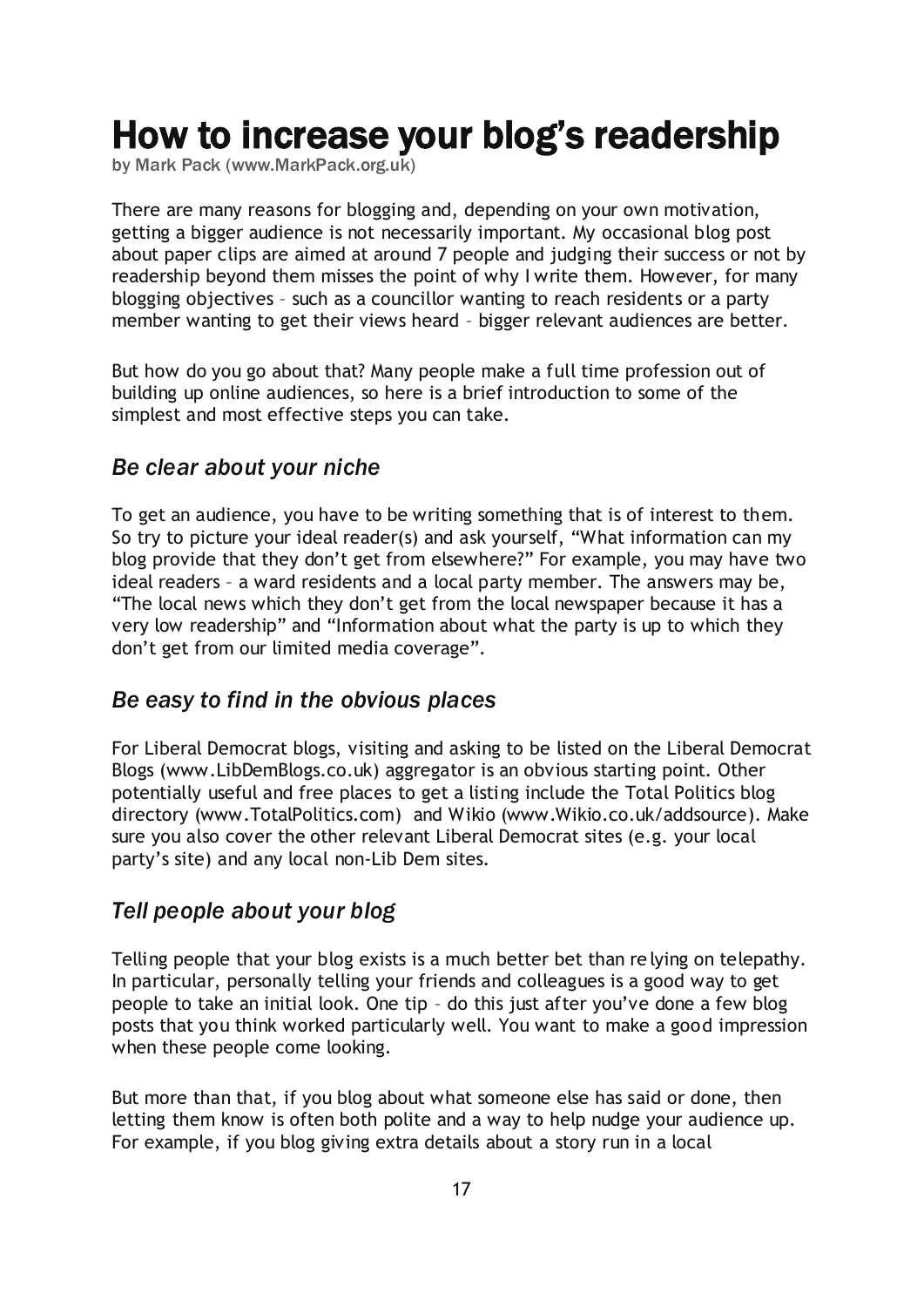## <span id="page-16-0"></span>How to increase your blog's readership

by Mark Pack [\(www.MarkPack.org.uk\)](http://www.markpack.org.uk/)

There are many reasons for blogging and, depending on your own motivation, getting a bigger audience is not necessarily important. My occasional blog post about paper clips are aimed at around 7 people and judging their success or not by readership beyond them misses the point of why I write them. However, for many blogging objectives – such as a councillor wanting to reach residents or a party member wanting to get their views heard – bigger relevant audiences are better.

But how do you go about that? Many people make a full time profession out of building up online audiences, so here is a brief introduction to some of the simplest and most effective steps you can take.

#### *Be clear about your niche*

To get an audience, you have to be writing something that is of interest to them. So try to picture your ideal reader(s) and ask yourself, "What information can my blog provide that they don"t get from elsewhere?" For example, you may have two ideal readers – a ward residents and a local party member. The answers may be, "The local news which they don"t get from the local newspaper because it has a very low readership" and "Information about what the party is up to which they don"t get from our limited media coverage".

### *Be easy to find in the obvious places*

For Liberal Democrat blogs, visiting and asking to be listed on the Liberal Democrat Blogs [\(www.LibDemBlogs.co.uk\)](http://www.libdemblogs.co.uk/) aggregator is an obvious starting point. Other potentially useful and free places to get a listing include the [Total Politics blog](http://www.totalpolitics.com/politicalblogs/)  [directory](http://www.totalpolitics.com/politicalblogs/) [\(www.TotalPolitics.com\)](http://www.totalpolitics.com/) and [Wikio](http://www.wikio.co.uk/addsource) [\(www.Wikio.co.uk/addsource\)](http://www.wikio.co.uk/addsource). Make sure you also cover the other relevant Liberal Democrat sites (e.g. your local party"s site) and any local non-Lib Dem sites.

#### *Tell people about your blog*

Telling people that your blog exists is a much better bet than re lying on telepathy. In particular, personally telling your friends and colleagues is a good way to get people to take an initial look. One tip – do this just after you"ve done a few blog posts that you think worked particularly well. You want to make a good impression when these people come looking.

But more than that, if you blog about what someone else has said or done, then letting them know is often both polite and a way to help nudge your audience up. For example, if you blog giving extra details about a story run in a local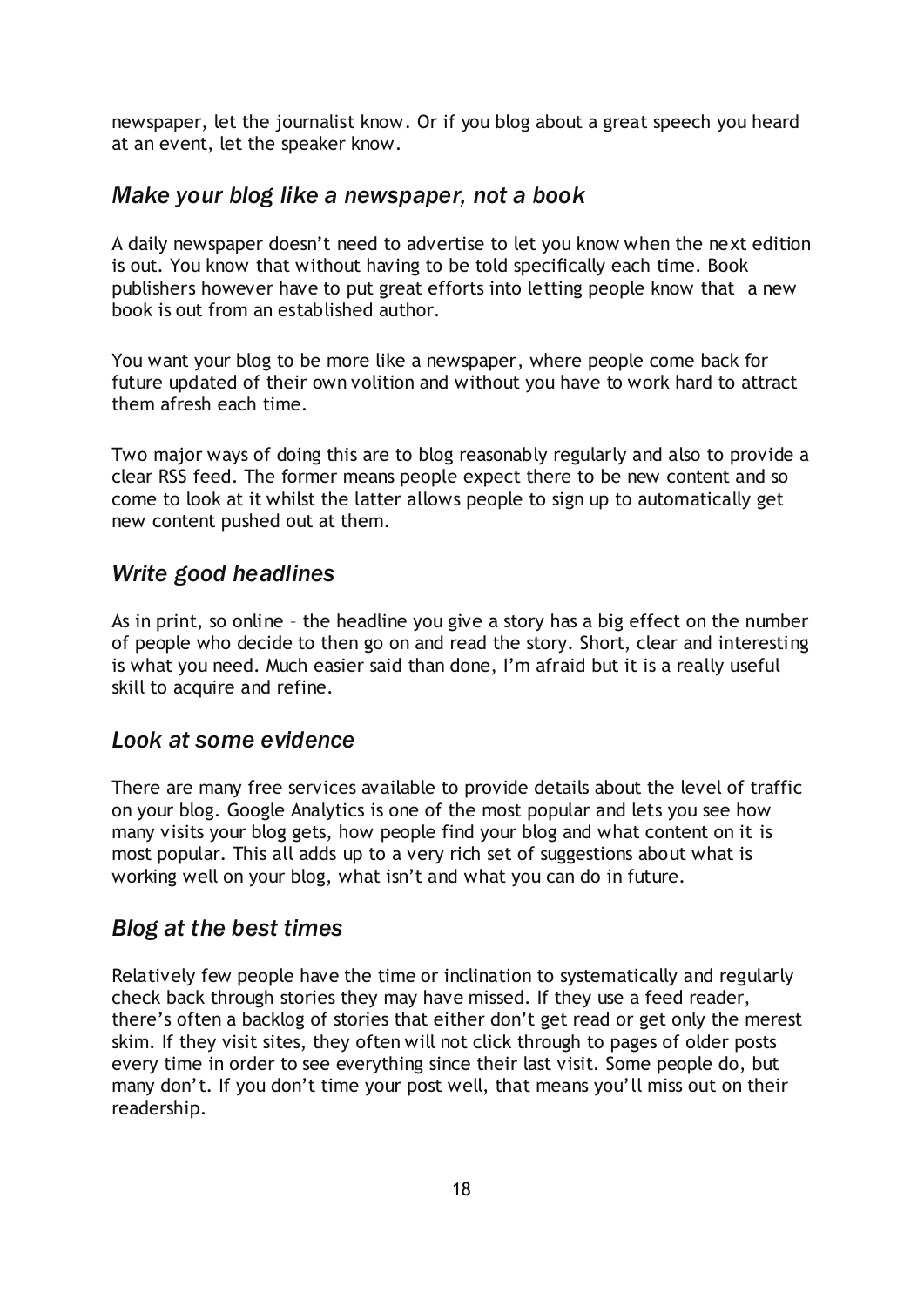newspaper, let the journalist know. Or if you blog about a great speech you heard at an event, let the speaker know.

## *Make your blog like a newspaper, not a book*

A daily newspaper doesn"t need to advertise to let you know when the next edition is out. You know that without having to be told specifically each time. Book publishers however have to put great efforts into letting people know that a new book is out from an established author.

You want your blog to be more like a newspaper, where people come back for future updated of their own volition and without you have to work hard to attract them afresh each time.

Two major ways of doing this are to blog reasonably regularly and also to provide a clear RSS feed. The former means people expect there to be new content and so come to look at it whilst the latter allows people to sign up to automatically get new content pushed out at them.

#### *Write good headlines*

As in print, so online – the headline you give a story has a big effect on the number of people who decide to then go on and read the story. Short, clear and interesting is what you need. Much easier said than done, I"m afraid but it is a really useful skill to acquire and refine.

### *Look at some evidence*

There are many free services available to provide details about the level of traffic on your blog. [Google Analytics](http://www.google.com/analytics/) is one of the most popular and lets you see how many visits your blog gets, how people find your blog and what content on it is most popular. This all adds up to a very rich set of suggestions about what is working well on your blog, what isn"t and what you can do in future.

### *Blog at the best times*

Relatively few people have the time or inclination to systematically and regularly check back through stories they may have missed. If they use a feed reader, there"s often a backlog of stories that either don"t get read or get only the merest skim. If they visit sites, they often will not click through to pages of older posts every time in order to see everything since their last visit. Some people do, but many don't. If you don't time your post well, that means you'll miss out on their readership.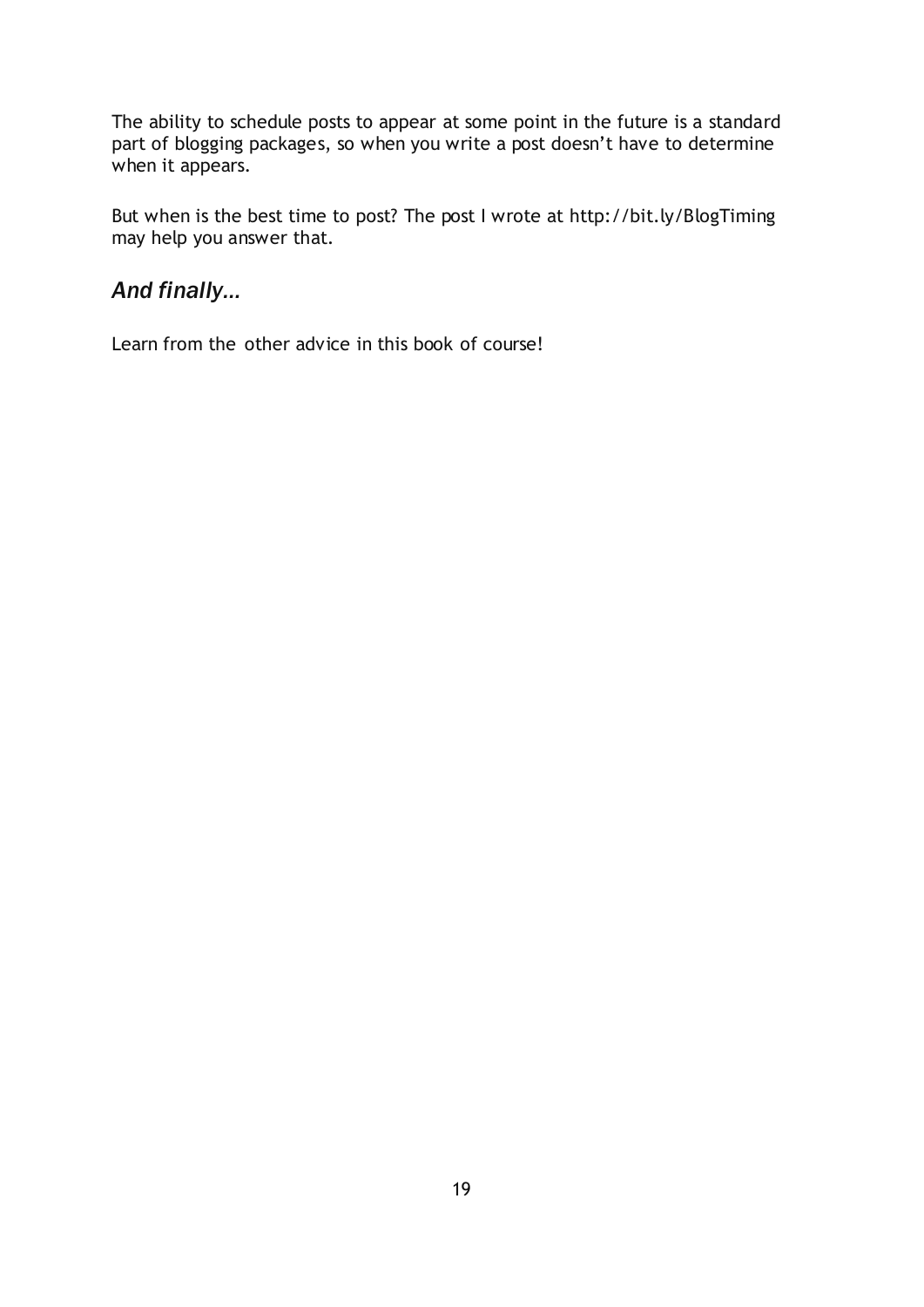The ability to schedule posts to appear at some point in the future is a standard part of blogging packages, so when you write a post doesn"t have to determine when it appears.

But when is the best time to post? The post I wrote at<http://bit.ly/BlogTiming> may help you answer that.

## *And finally…*

Learn from the other advice in this book of course!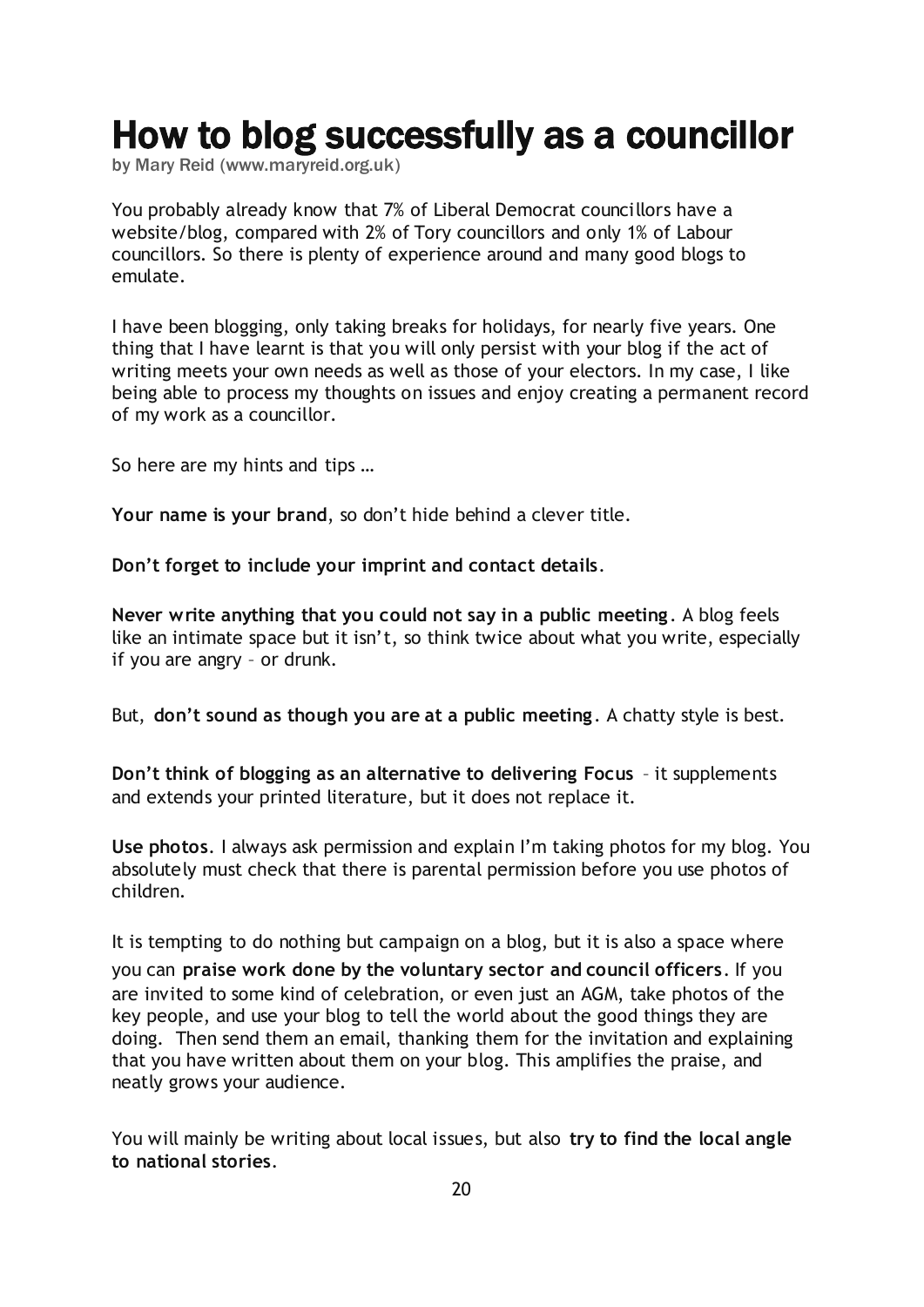## <span id="page-19-0"></span>How to blog successfully as a councillor

by Mary Reid [\(www.maryreid.org.uk\)](http://www.maryreid.org.uk/)

You probably already know that 7% of Liberal Democrat councillors have a website/blog, compared with 2% of Tory councillors and only 1% of Labour councillors. So there is plenty of experience around and many good blogs to emulate.

I have been blogging, only taking breaks for holidays, for nearly five years. One thing that I have learnt is that you will only persist with your blog if the act of writing meets your own needs as well as those of your electors. In my case, I like being able to process my thoughts on issues and enjoy creating a permanent record of my work as a councillor.

So here are my hints and tips …

**Your name is your brand**, so don"t hide behind a clever title.

**Don't forget to include your imprint and contact details**.

**Never write anything that you could not say in a public meeting**. A blog feels like an intimate space but it isn't, so think twice about what you write, especially if you are angry – or drunk.

But, **don't sound as though you are at a public meeting**. A chatty style is best.

**Don't think of blogging as an alternative to delivering Focus** – it supplements and extends your printed literature, but it does not replace it.

**Use photos**. I always ask permission and explain I"m taking photos for my blog. You absolutely must check that there is parental permission before you use photos of children.

It is tempting to do nothing but campaign on a blog, but it is also a space where you can **praise work done by the voluntary sector and council officers**. If you are invited to some kind of celebration, or even just an AGM, take photos of the key people, and use your blog to tell the world about the good things they are doing. Then send them an email, thanking them for the invitation and explaining that you have written about them on your blog. This amplifies the praise, and neatly grows your audience.

You will mainly be writing about local issues, but also **try to find the local angle to national stories**.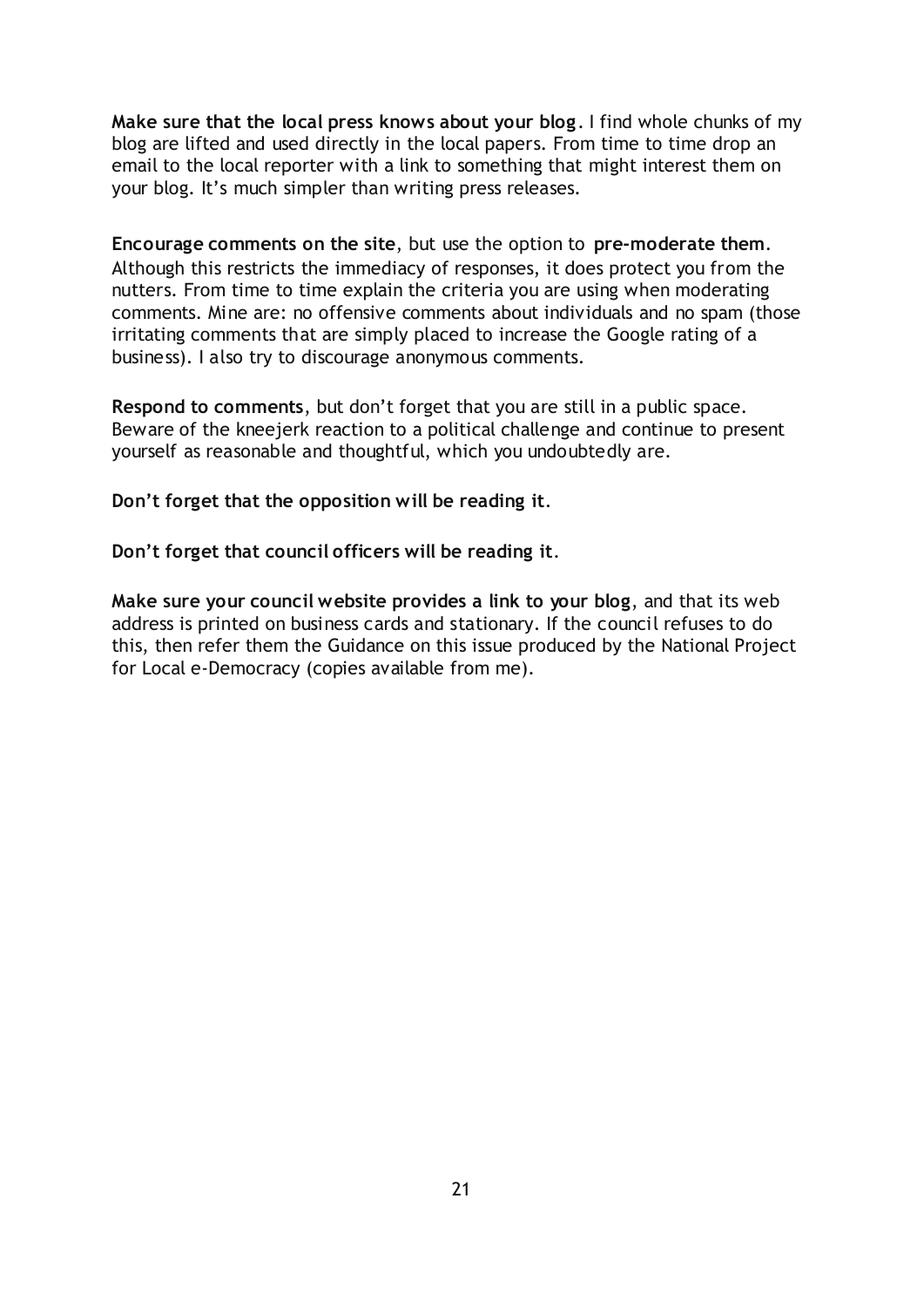**Make sure that the local press knows about your blog**. I find whole chunks of my blog are lifted and used directly in the local papers. From time to time drop an email to the local reporter with a link to something that might interest them on your blog. It's much simpler than writing press releases.

**Encourage comments on the site**, but use the option to **pre-moderate them**. Although this restricts the immediacy of responses, it does protect you from the nutters. From time to time explain the criteria you are using when moderating comments. Mine are: no offensive comments about individuals and no spam (those irritating comments that are simply placed to increase the Google rating of a business). I also try to discourage anonymous comments.

**Respond to comments**, but don"t forget that you are still in a public space. Beware of the kneejerk reaction to a political challenge and continue to present yourself as reasonable and thoughtful, which you undoubtedly are.

**Don't forget that the opposition will be reading it**.

**Don't forget that council officers will be reading it**.

**Make sure your council website provides a link to your blog**, and that its web address is printed on business cards and stationary. If the council refuses to do this, then refer them the Guidance on this issue produced by the National Project for Local e-Democracy (copies available from me).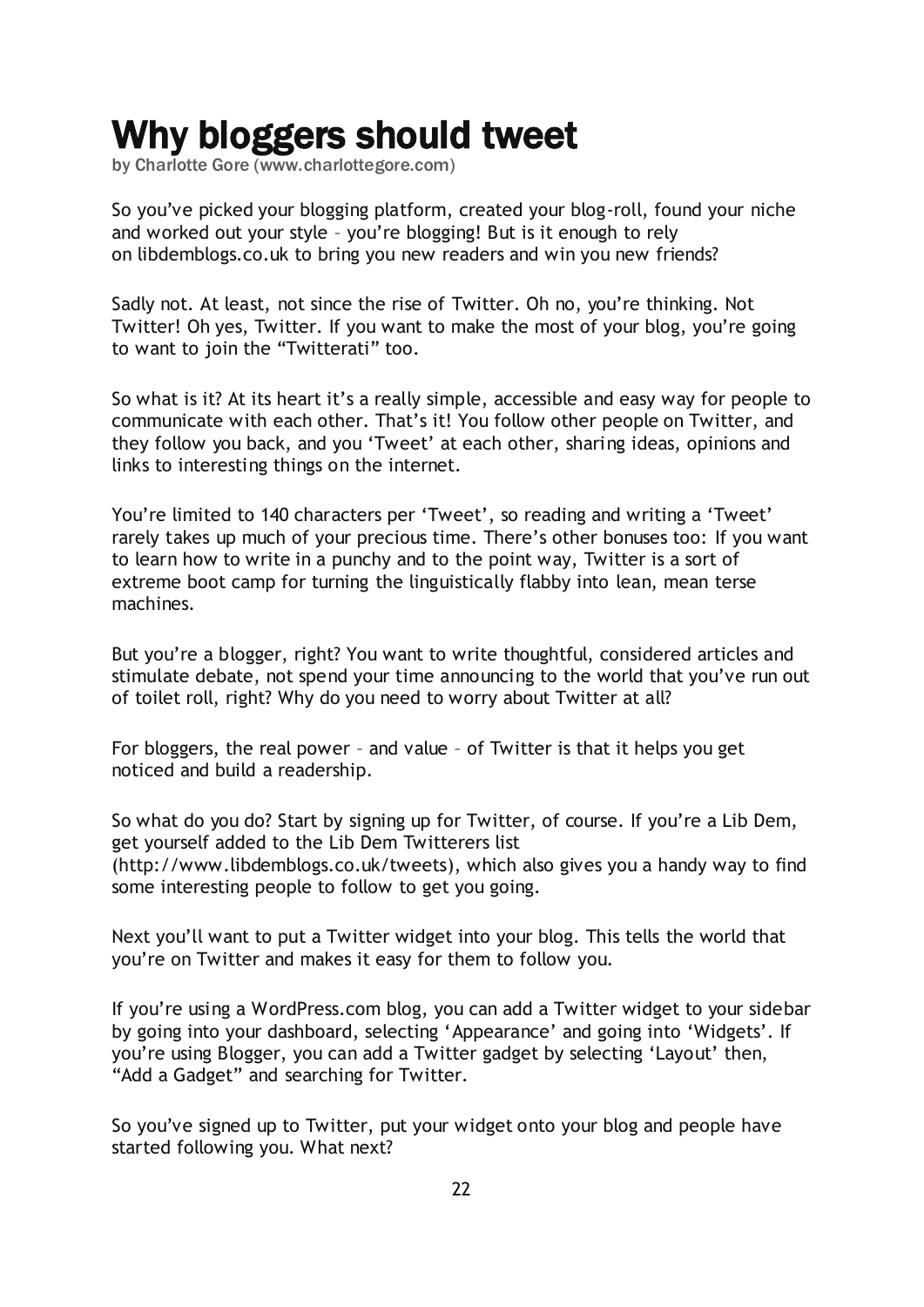## <span id="page-21-0"></span>Why bloggers should tweet

by Charlotte Gore [\(www.charlottegore.com\)](http://www.charlottegore.com/)

So you"ve picked your blogging platform, created your blog-roll, found your niche and worked out your style – you"re blogging! But is it enough to rely on [libdemblogs.co.uk](http://libdemblogs.co.uk/) to bring you new readers and win you new friends?

Sadly not. At least, not since the rise of [Twitter](http://www.twitter.com/). Oh no, you"re thinking. Not Twitter! Oh yes, Twitter. If you want to make the most of your blog, you"re going to want to join the "Twitterati" too.

So what is it? At its heart it's a really simple, accessible and easy way for people to communicate with each other. That"s it! You follow other people on Twitter, and they follow you back, and you "Tweet" at each other, sharing ideas, opinions and links to interesting things on the internet.

You're limited to 140 characters per 'Tweet', so reading and writing a 'Tweet' rarely takes up much of your precious time. There"s other bonuses too: If you want to learn how to write in a punchy and to the point way, Twitter is a sort of extreme boot camp for turning the linguistically flabby into lean, mean terse machines.

But you"re a blogger, right? You want to write thoughtful, considered articles and stimulate debate, not spend your time announcing to the world that you"ve run out of toilet roll, right? Why do you need to worry about Twitter at all?

For bloggers, the real power – and value – of Twitter is that it helps you get noticed and build a readership.

So what do you do? Start by signing up for Twitter, of course. If you"re a Lib Dem, get yourself added to the Lib Dem Twitterers list [\(http://www.libdemblogs.co.uk/tweets\)](http://www.libdemblogs.co.uk/tweets/), which also gives you a handy way to find some interesting people to follow to get you going.

Next you"ll want to put a Twitter widget into your blog. This tells the world that you"re on Twitter and makes it easy for them to follow you.

If you"re using a WordPress.com blog, you can add a Twitter widget to your sidebar by going into your dashboard, selecting "Appearance" and going into "Widgets". If you"re using Blogger, you can add a Twitter gadget by selecting "Layout" then, "Add a Gadget" and searching for Twitter.

So you"ve signed up to Twitter, put your widget onto your blog and people have started following you. What next?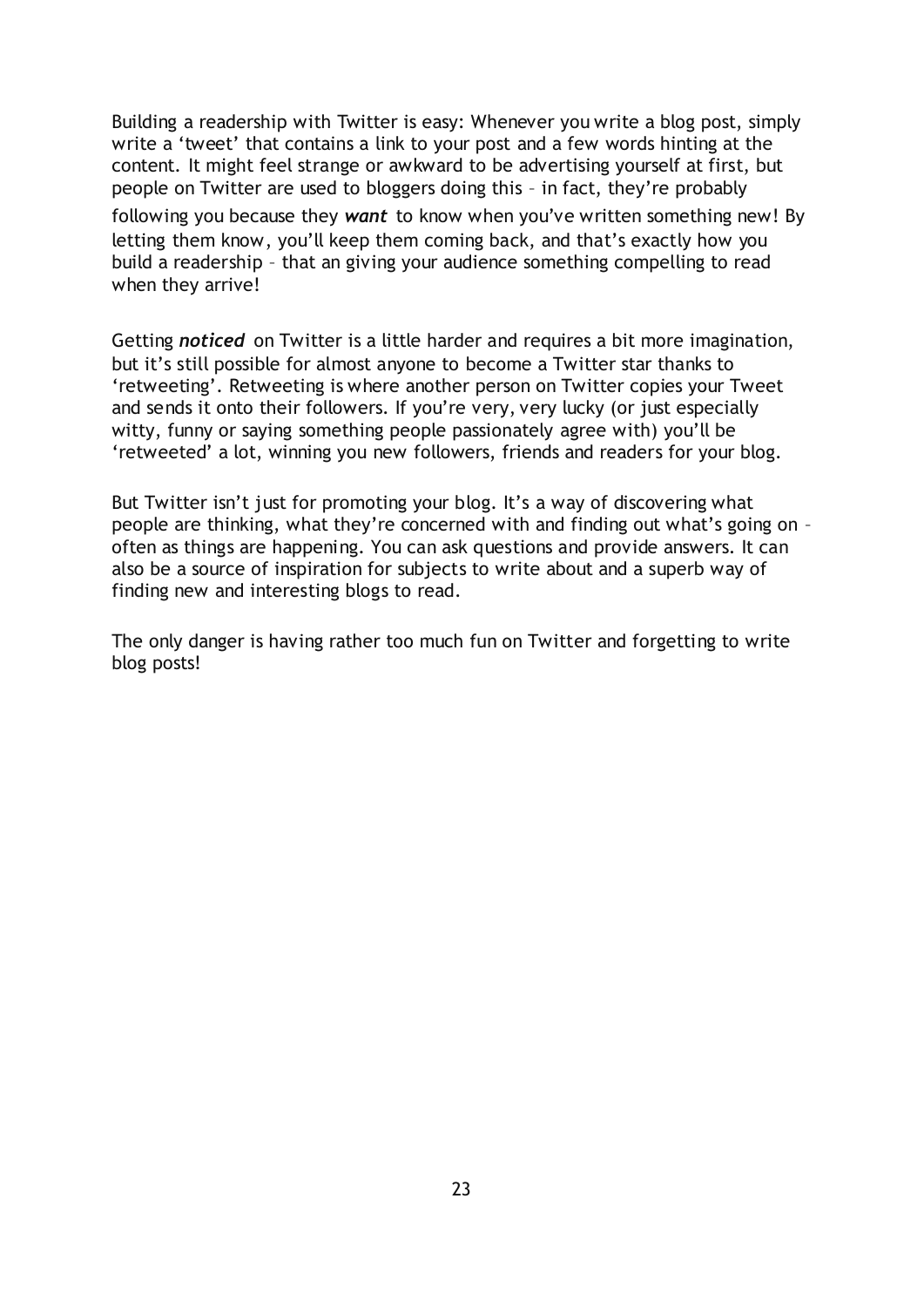Building a readership with Twitter is easy: Whenever you write a blog post, simply write a 'tweet' that contains a link to your post and a few words hinting at the content. It might feel strange or awkward to be advertising yourself at first, but people on Twitter are used to bloggers doing this – in fact, they"re probably following you because they *want* to know when you"ve written something new! By letting them know, you'll keep them coming back, and that's exactly how you build a readership – that an giving your audience something compelling to read when they arrive!

Getting *noticed* on Twitter is a little harder and requires a bit more imagination, but it"s still possible for almost anyone to become a Twitter star thanks to "retweeting". Retweeting is where another person on Twitter copies your Tweet and sends it onto their followers. If you"re very, very lucky (or just especially witty, funny or saying something people passionately agree with) you"ll be "retweeted" a lot, winning you new followers, friends and readers for your blog.

But Twitter isn't just for promoting your blog. It's a way of discovering what people are thinking, what they"re concerned with and finding out what"s going on – often as things are happening. You can ask questions and provide answers. It can also be a source of inspiration for subjects to write about and a superb way of finding new and interesting blogs to read.

The only danger is having rather too much fun on Twitter and forgetting to write blog posts!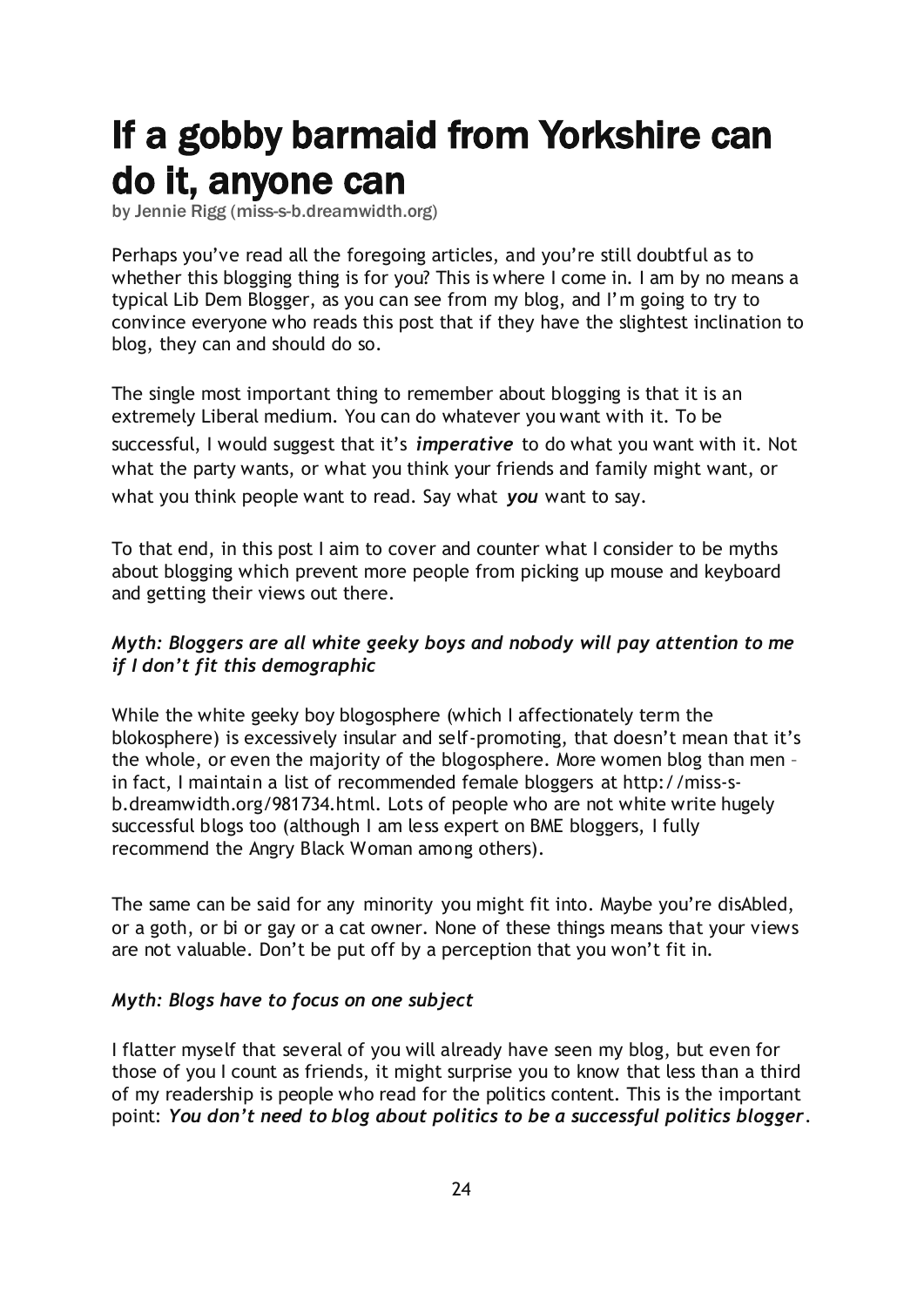# <span id="page-23-0"></span>If a gobby barmaid from Yorkshire can do it, anyone can

by Jennie Rigg [\(miss-s-b.dreamwidth.org\)](http://miss-s-b.dreamwidth.org/)

Perhaps you"ve read [all the foregoing articles](http://www.libdemvoice.org/category/e-campaigning/blogging-guide), and you"re still doubtful as to whether this blogging thing is for you? This is where I come in. I am by no means a typical Lib Dem Blogger, as you can see from [my blog](http://miss-s-b.dreamwidth.org/), and I"m going to try to convince everyone who reads this post that if they have the slightest inclination to blog, they can and should do so.

The single most important thing to remember about blogging is that it is an extremely Liberal medium. You can do whatever you want with it. To be successful, I would suggest that it's *imperative* to do what you want with it. Not what the party wants, or what you think your friends and family might want, or what you think people want to read. Say what *you* want to say.

To that end, in this post I aim to cover and counter what I consider to be myths about blogging which prevent more people from picking up mouse and keyboard and getting their views out there.

#### *Myth: Bloggers are all white geeky boys and nobody will pay attention to me if I don't fit this demographic*

While the white geeky boy blogosphere (which I affectionately term the blokosphere) is excessively insular and self-promoting, that doesn't mean that it's the whole, or even the majority of the blogosphere. [More women blog than men](http://miss-s-b.dreamwidth.org/981399.html) – in fact, I maintain [a list of recommended female bloggers](http://miss-s-b.dreamwidth.org/981734.html) at [http://miss-s](http://miss-s-b.dreamwidth.org/981734.html)[b.dreamwidth.org/981734.html.](http://miss-s-b.dreamwidth.org/981734.html) Lots of people who are not white write hugely successful blogs too (although I am less expert on BME bloggers, I fully recommend [the Angry Black Woman](http://theangryblackwoman.com/) among others).

The same can be said for any minority you might fit into. Maybe you"re disAbled, or a goth, or bi or gay or a cat owner. None of these things means that your views are not valuable. Don"t be put off by a perception that you won"t fit in.

#### *Myth: Blogs have to focus on one subject*

I flatter myself that several of you will already have seen [my blog,](http://miss-s-b.dreamwidth.org/) but even for those of you I count as friends, it might surprise you to know that less than a third of my readership is people who read for the politics content. This is the important point: *You don't need to blog about politics to be a successful politics blogger*.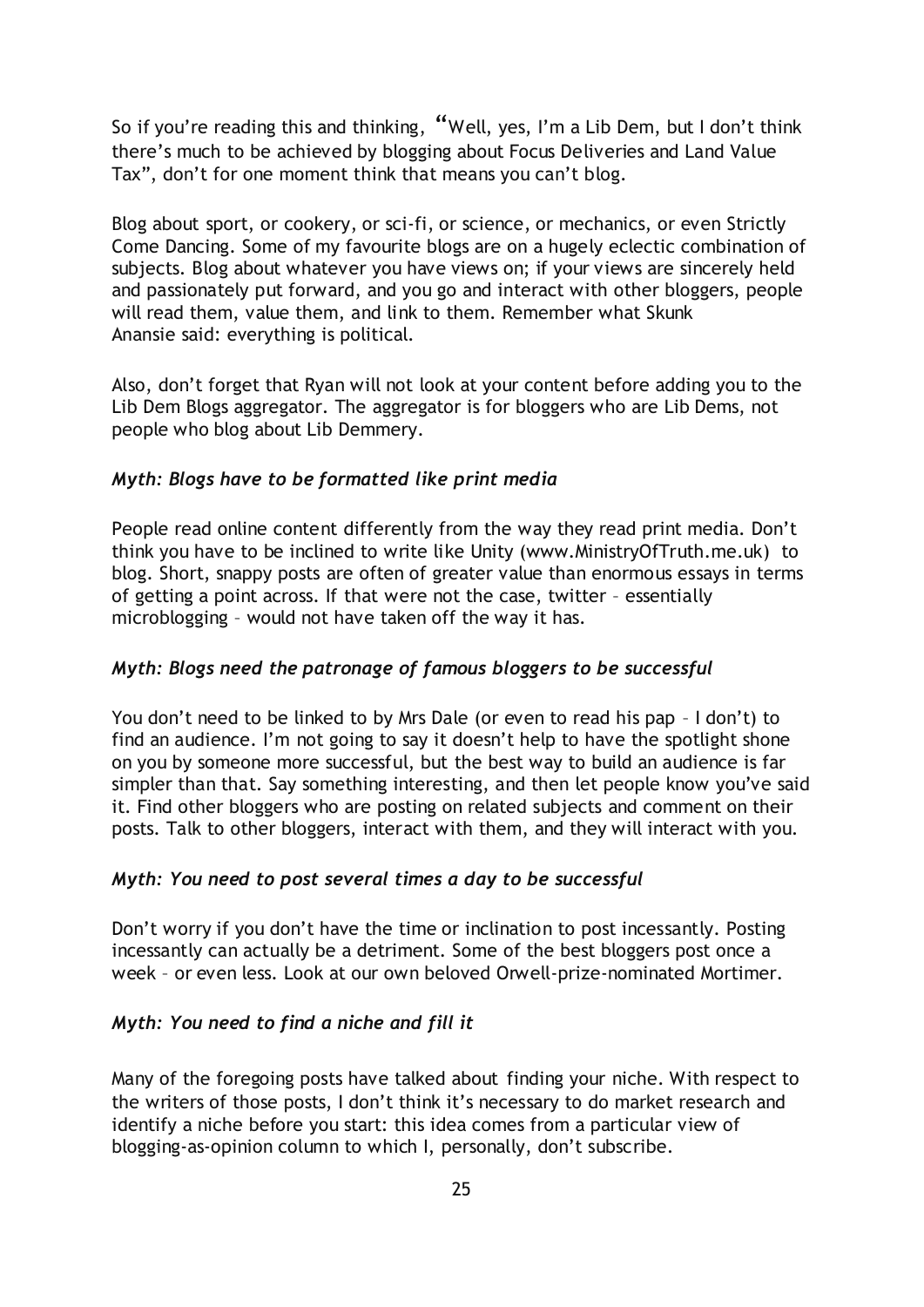So if you"re reading this and thinking, "Well, yes, I"m a Lib Dem, but I don"t think there"s much to be achieved by blogging about Focus Deliveries and Land Value Tax", don't for one moment think that means you can't blog.

Blog about sport, or [cookery,](http://gourmandise.dreamwidth.org/) or [sci-fi,](http://www.geekachicas.com/) or [science,](http://blogs.discovermagazine.com/badastronomy/) or mechanics, or even [Strictly](http://strictlysequinsandsparkles.blogspot.com/)  [Come Dancing.](http://strictlysequinsandsparkles.blogspot.com/) Some of my favourite blogs are on [a hugely eclectic combination of](http://innerbrat.livejournal.com/)  [subjects.](http://innerbrat.livejournal.com/) Blog about whatever you have views on; if your views are sincerely held and passionately put forward, and you go and interact with other bloggers, people will read them, value them, and link to them. Remember what [Skunk](http://www.last.fm/music/Skunk+Anansie/_/Yes+It%27s+Fucking+Political)  [Anansie](http://www.last.fm/music/Skunk+Anansie/_/Yes+It%27s+Fucking+Political) said: everything is political.

Also, don"t forget that Ryan will not look at your content before adding you to the Lib Dem Blogs aggregator. The aggregator is for bloggers who are Lib Dems, not people who blog about Lib Demmery.

#### *Myth: Blogs have to be formatted like print media*

People read online content differently from the way they read print media. Don't think you have to be inclined to write like [Unity](http://www.ministryoftruth.me.uk/) [\(www.MinistryOfTruth.me.uk\)](http://www.ministryoftruth.me.uk/) to blog. Short, snappy posts are often of greater value than enormous essays in terms of getting a point across. If that were not the case, twitter – essentially microblogging – would not have taken off the way it has.

#### *Myth: Blogs need the patronage of famous bloggers to be successful*

You don"t need to be linked to by Mrs Dale (or even to read his pap – I don"t) to find an audience. I'm not going to say it doesn't help to have the spotlight shone on you by someone more successful, but the best way to build an audience is far simpler than that. Say something interesting, and then let people know you"ve said it. Find other bloggers who are posting on related subjects and comment on their posts. Talk to other bloggers, interact with them, and they will interact with you.

#### *Myth: You need to post several times a day to be successful*

Don"t worry if you don"t have the time or inclination to post incessantly. Posting incessantly can actually be a detriment. Some of the best bloggers post once a week – or even less. Look at our own beloved Orwell-prize-nominated Mortimer.

#### *Myth: You need to find a niche and fill it*

Many of the foregoing posts have talked about finding your niche. With respect to the writers of those posts, I don"t think it"s necessary to do market research and identify a niche before you start: this idea comes from a particular view of blogging-as-opinion column to which I, personally, don"t subscribe.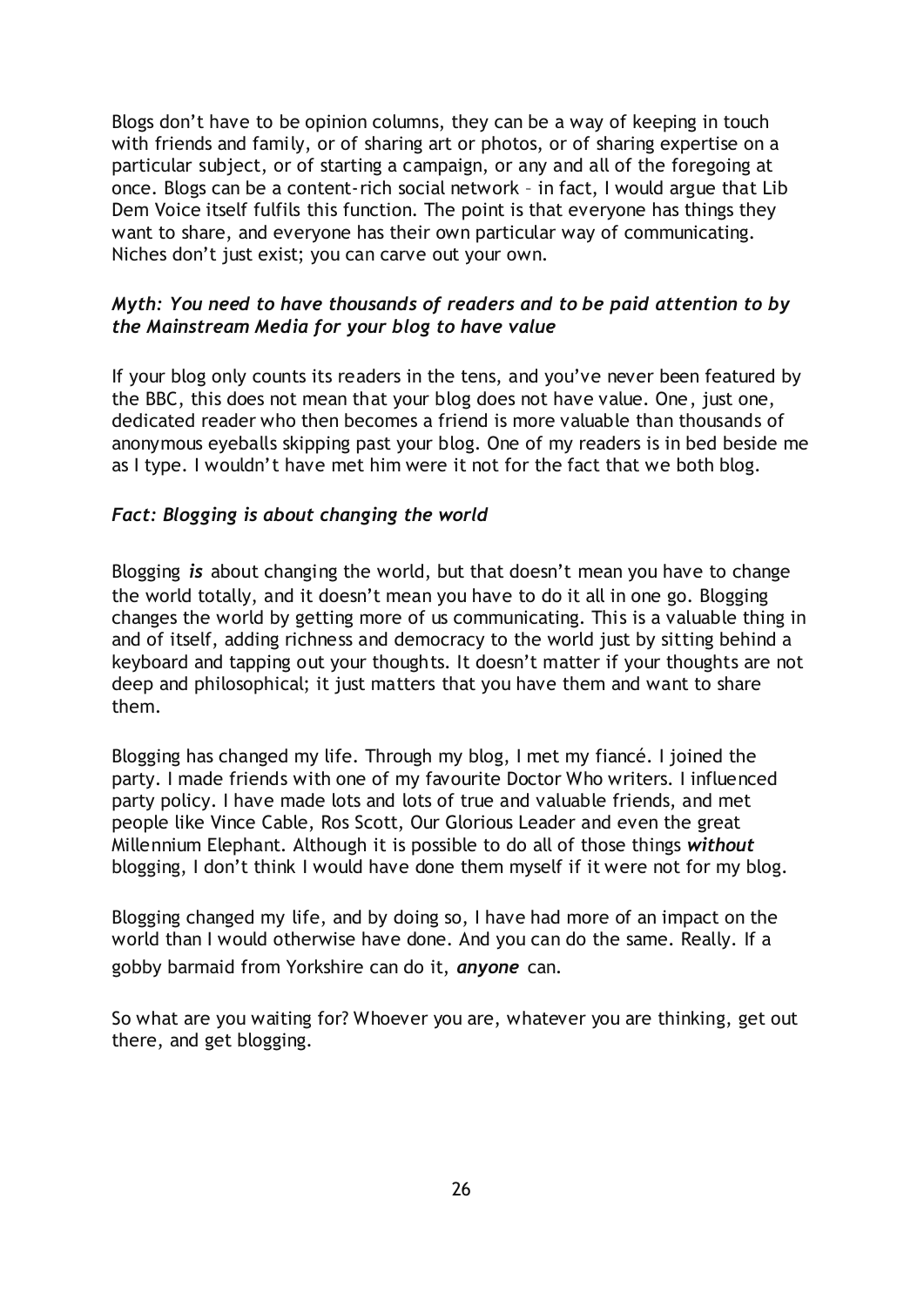Blogs don"t have to be opinion columns, they can be a way of keeping in touch with friends and family, or of [sharing art](http://ginasketch.livejournal.com/) or photos, or of [sharing expertise on a](http://www.thechilliking.com/blog/)  [particular subject,](http://www.thechilliking.com/blog/) or of [starting a campaign,](http://pinkstinks.wordpress.com/) or any and all of the foregoing at once. Blogs can be a content-rich social network – in fact, I would argue that Lib Dem Voice itself fulfils this function. The point is that everyone has things they want to share, and everyone has their own particular way of communicating. Niches don"t just exist; you can carve out your own.

#### *Myth: You need to have thousands of readers and to be paid attention to by the Mainstream Media for your blog to have value*

If your blog only counts its readers in the tens, and you"ve never been featured by the BBC, this does not mean that your blog does not have value. One, just one, dedicated reader who then becomes a friend is more valuable than thousands of anonymous eyeballs skipping past your blog. One of my readers is in bed beside me as I type. I wouldn"t have met him were it not for the fact that we both blog.

#### *Fact: Blogging is about changing the world*

Blogging *is* about changing the world, but that doesn"t mean you have to change the world totally, and it doesn"t mean you have to do it all in one go. Blogging changes the world by getting more of us communicating. This is a valuable thing in and of itself, adding richness and democracy to the world just by sitting behind a keyboard and tapping out your thoughts. It doesn"t matter if your thoughts are not deep and philosophical; it just matters that you have them and want to share them.

Blogging has changed my life. Through my blog, I met my fiancé. I joined the party. I made friends with one of my favourite Doctor Who writers. I influenced party policy. I have made lots and lots of true and valuable friends, and met people like Vince Cable, Ros Scott, Our Glorious Leader and even the great Millennium Elephant. Although it is possible to do all of those things *without* blogging, I don"t think I would have done them myself if it were not for my blog.

Blogging changed my life, and by doing so, I have had more of an impact on the world than I would otherwise have done. And you can do the same. Really. If a gobby barmaid from Yorkshire can do it, *anyone* can.

So what are you waiting for? Whoever you are, whatever you are thinking, get out there, and get blogging.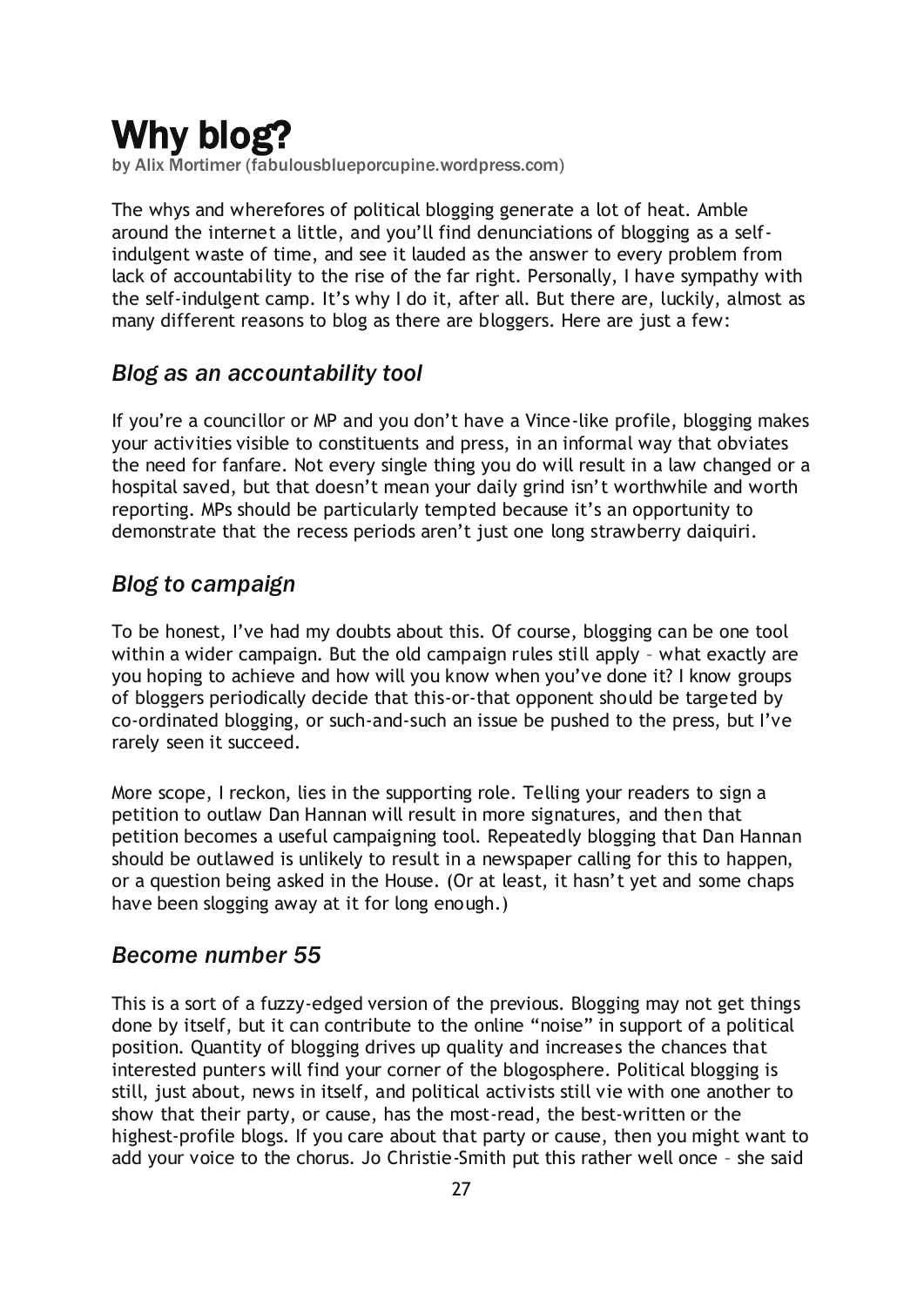# <span id="page-26-0"></span>Why blog?

by Alix Mortimer [\(fabulousblueporcupine.wordpress.com\)](http://fabulousblueporcupine.wordpress.com/)

The whys and wherefores of political blogging generate a lot of heat. Amble around the internet a little, and you"ll find denunciations of blogging as a selfindulgent waste of time, and see it lauded as the answer to every problem from lack of accountability to the rise of the far right. Personally, I have sympathy with the self-indulgent camp. It"s why I do it, after all. But there are, luckily, almost as many different reasons to blog as there are bloggers. Here are just a few:

## *Blog as an accountability tool*

If you"re a councillor or MP and you don"t have a Vince-like profile, blogging makes your activities visible to constituents and press, in an informal way that obviates the need for fanfare. Not every single thing you do will result in a law changed or a hospital saved, but that doesn"t mean your daily grind isn"t worthwhile and worth reporting. MPs should be particularly tempted because it's an opportunity to demonstrate that the recess periods aren"t just one long strawberry daiquiri.

## *Blog to campaign*

To be honest, I"ve had my doubts about this. Of course, blogging can be one tool within a wider campaign. But the old campaign rules still apply – what exactly are you hoping to achieve and how will you know when you"ve done it? I know groups of bloggers periodically decide that this-or-that opponent should be targeted by co-ordinated blogging, or such-and-such an issue be pushed to the press, but I"ve rarely seen it succeed.

More scope, I reckon, lies in the supporting role. Telling your readers to sign a petition to outlaw Dan Hannan will result in more signatures, and then that petition becomes a useful campaigning tool. Repeatedly blogging that Dan Hannan should be outlawed is unlikely to result in a newspaper calling for this to happen, or a question being asked in the House. (Or at least, it hasn"t yet and some chaps have been slogging away at it for long enough.)

## *Become number 55*

This is a sort of a fuzzy-edged version of the previous. Blogging may not get things done by itself, but it can contribute to the online "noise" in support of a political position. Quantity of blogging drives up quality and increases the chances that interested punters will find your corner of the blogosphere. Political blogging is still, just about, news in itself, and political activists still vie with one another to show that their party, or cause, has the most-read, the best-written or the highest-profile blogs. If you care about that party or cause, then you might want to add your voice to the chorus. Jo Christie-Smith put this rather well once – she said